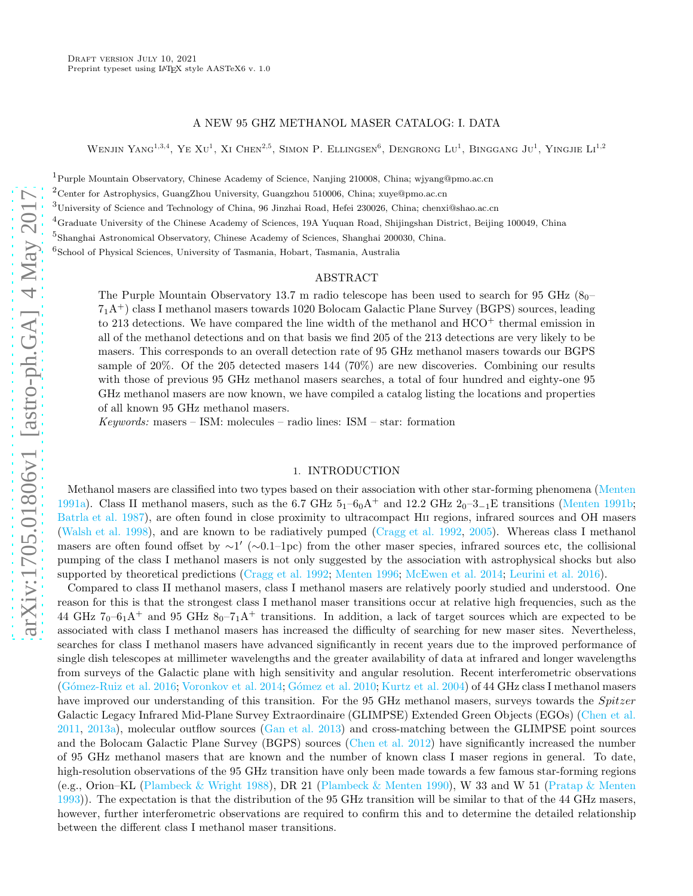## A NEW 95 GHZ METHANOL MASER CATALOG: I. DATA

WENJIN YANG<sup>1,3,4</sup>, YE XU<sup>1</sup>, XI CHEN<sup>2,5</sup>, SIMON P. ELLINGSEN<sup>6</sup>, DENGRONG LU<sup>1</sup>, BINGGANG JU<sup>1</sup>, YINGJIE LI<sup>1,2</sup>

<sup>1</sup>Purple Mountain Observatory, Chinese Academy of Science, Nanjing 210008, China; wjyang@pmo.ac.cn

<sup>2</sup>Center for Astrophysics, GuangZhou University, Guangzhou 510006, China; xuye@pmo.ac.cn

<sup>3</sup>University of Science and Technology of China, 96 Jinzhai Road, Hefei 230026, China; chenxi@shao.ac.cn

 ${}^{4}$ Graduate University of the Chinese Academy of Sciences, 19A Yuquan Road, Shijingshan District, Beijing 100049, China

5 Shanghai Astronomical Observatory, Chinese Academy of Sciences, Shanghai 200030, China.

6 School of Physical Sciences, University of Tasmania, Hobart, Tasmania, Australia

## ABSTRACT

The Purple Mountain Observatory 13.7 m radio telescope has been used to search for 95 GHz  $(8<sub>0</sub> 7<sub>1</sub>A<sup>+</sup>$ ) class I methanol masers towards 1020 Bolocam Galactic Plane Survey (BGPS) sources, leading to 213 detections. We have compared the line width of the methanol and  $HCO<sup>+</sup>$  thermal emission in all of the methanol detections and on that basis we find 205 of the 213 detections are very likely to be masers. This corresponds to an overall detection rate of 95 GHz methanol masers towards our BGPS sample of 20%. Of the 205 detected masers 144 (70%) are new discoveries. Combining our results with those of previous 95 GHz methanol masers searches, a total of four hundred and eighty-one 95 GHz methanol masers are now known, we have compiled a catalog listing the locations and properties of all known 95 GHz methanol masers.

 $Keywords:$  masers – ISM: molecules – radio lines: ISM – star: formation

#### 1. INTRODUCTION

Methanol masers are classified into two types based on their association with other star-forming phenomena [\(Menten](#page-9-0) [1991a\)](#page-9-0). Class II methanol masers, such as the 6.7 GHz  $5<sub>1</sub>$ –6<sub>0</sub>A<sup>+</sup> and 12.2 GHz  $2<sub>0</sub>$ –3<sub>-1</sub>E transitions [\(Menten 1991b](#page-9-1); [Batrla et al. 1987\)](#page-9-2), are often found in close proximity to ultracompact HII regions, infrared sources and OH masers [\(Walsh et al. 1998\)](#page-9-3), and are known to be radiatively pumped [\(Cragg et al. 1992,](#page-9-4) [2005\)](#page-9-5). Whereas class I methanol masers are often found offset by  $\sim$ 1' ( $\sim$ 0.1–1pc) from the other maser species, infrared sources etc, the collisional pumping of the class I methanol masers is not only suggested by the association with astrophysical shocks but also supported by theoretical predictions [\(Cragg et al. 1992;](#page-9-4) [Menten 1996;](#page-9-6) [McEwen et al. 2014;](#page-9-7) [Leurini et al. 2016\)](#page-9-8).

Compared to class II methanol masers, class I methanol masers are relatively poorly studied and understood. One reason for this is that the strongest class I methanol maser transitions occur at relative high frequencies, such as the 44 GHz  $7_0$ –6<sub>1</sub>A<sup>+</sup> and 95 GHz  $8_0$ – $7_1$ A<sup>+</sup> transitions. In addition, a lack of target sources which are expected to be associated with class I methanol masers has increased the difficulty of searching for new maser sites. Nevertheless, searches for class I methanol masers have advanced significantly in recent years due to the improved performance of single dish telescopes at millimeter wavelengths and the greater availability of data at infrared and longer wavelengths from surveys of the Galactic plane with high sensitivity and angular resolution. Recent interferometric observations [\(G´omez-Ruiz et al. 2016;](#page-9-9) [Voronkov et al. 2014;](#page-9-10) [G´omez et al. 2010;](#page-9-11) [Kurtz et al. 2004\)](#page-9-12) of 44 GHz class I methanol masers have improved our understanding of this transition. For the 95 GHz methanol masers, surveys towards the Spitzer Galactic Legacy Infrared Mid-Plane Survey Extraordinaire (GLIMPSE) Extended Green Objects (EGOs) [\(Chen et al.](#page-9-13)  $2011, 2013a$  $2011, 2013a$ ), molecular outflow sources [\(Gan et al. 2013\)](#page-9-15) and cross-matching between the GLIMPSE point sources and the Bolocam Galactic Plane Survey (BGPS) sources [\(Chen et al. 2012\)](#page-9-16) have significantly increased the number of 95 GHz methanol masers that are known and the number of known class I maser regions in general. To date, high-resolution observations of the 95 GHz transition have only been made towards a few famous star-forming regions (e.g., Orion–KL [\(Plambeck & Wright 1988\)](#page-9-17), DR 21 [\(Plambeck & Menten 1990\)](#page-9-18), W 33 and W 51 [\(Pratap & Menten](#page-9-19) [1993\)](#page-9-19)). The expectation is that the distribution of the 95 GHz transition will be similar to that of the 44 GHz masers, however, further interferometric observations are required to confirm this and to determine the detailed relationship between the different class I methanol maser transitions.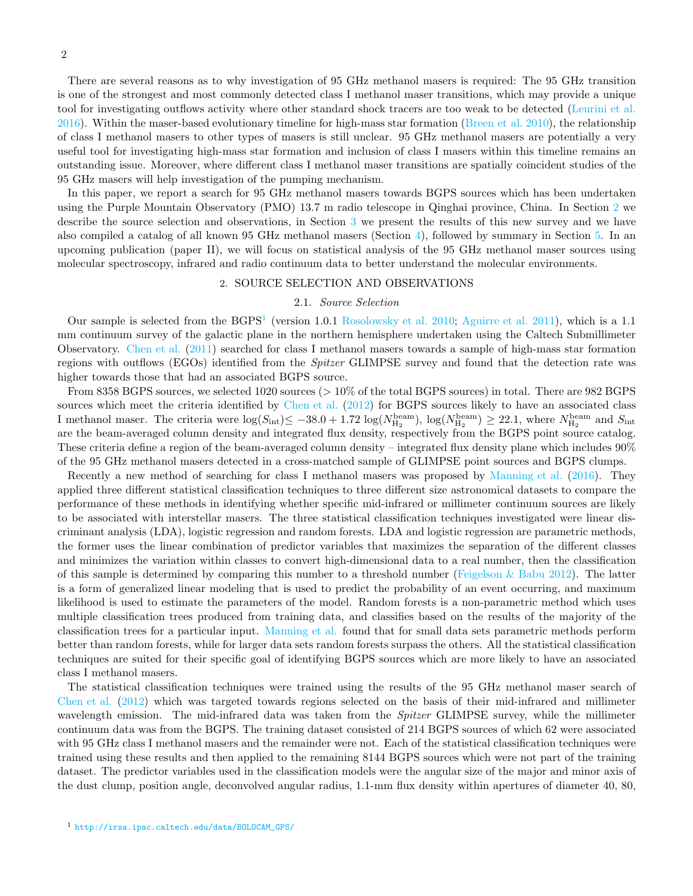There are several reasons as to why investigation of 95 GHz methanol masers is required: The 95 GHz transition is one of the strongest and most commonly detected class I methanol maser transitions, which may provide a unique tool for investigating outflows activity where other standard shock tracers are too weak to be detected [\(Leurini et al.](#page-9-8)  $2016$ ). Within the maser-based evolutionary timeline for high-mass star formation [\(Breen et al. 2010\)](#page-9-20), the relationship of class I methanol masers to other types of masers is still unclear. 95 GHz methanol masers are potentially a very useful tool for investigating high-mass star formation and inclusion of class I masers within this timeline remains an outstanding issue. Moreover, where different class I methanol maser transitions are spatially coincident studies of the 95 GHz masers will help investigation of the pumping mechanism.

In this paper, we report a search for 95 GHz methanol masers towards BGPS sources which has been undertaken using the Purple Mountain Observatory (PMO) 13.7 m radio telescope in Qinghai province, China. In Section [2](#page-1-0) we describe the source selection and observations, in Section [3](#page-2-0) we present the results of this new survey and we have also compiled a catalog of all known 95 GHz methanol masers (Section [4\)](#page-6-0), followed by summary in Section [5.](#page-8-0) In an upcoming publication (paper II), we will focus on statistical analysis of the 95 GHz methanol maser sources using molecular spectroscopy, infrared and radio continuum data to better understand the molecular environments.

## 2. SOURCE SELECTION AND OBSERVATIONS

## 2.1. Source Selection

<span id="page-1-0"></span>Our sample is selected from the BGPS<sup>[1](#page-1-1)</sup> (version 1.0.1 [Rosolowsky et al. 2010;](#page-9-21) [Aguirre et al. 2011\)](#page-8-1), which is a 1.1 mm continuum survey of the galactic plane in the northern hemisphere undertaken using the Caltech Submillimeter Observatory. [Chen et al.](#page-9-13) [\(2011\)](#page-9-13) searched for class I methanol masers towards a sample of high-mass star formation regions with outflows (EGOs) identified from the *Spitzer* GLIMPSE survey and found that the detection rate was higher towards those that had an associated BGPS source.

From 8358 BGPS sources, we selected 1020 sources (> 10% of the total BGPS sources) in total. There are 982 BGPS sources which meet the criteria identified by [Chen et al.](#page-9-16) [\(2012\)](#page-9-16) for BGPS sources likely to have an associated class I methanol maser. The criteria were  $\log(S_{\text{int}}) \le -38.0 + 1.72 \log(N_{\text{H}_2}^{\text{beam}})$ ,  $\log(N_{\text{H}_2}^{\text{beam}}) \ge 22.1$ , where  $N_{\text{H}_2}^{\text{beam}}$  and  $S_{\text{int}}$ are the beam-averaged column density and integrated flux density, respectively from the BGPS point source catalog. These criteria define a region of the beam-averaged column density – integrated flux density plane which includes 90% of the 95 GHz methanol masers detected in a cross-matched sample of GLIMPSE point sources and BGPS clumps.

Recently a new method of searching for class I methanol masers was proposed by [Manning et al.](#page-9-22) [\(2016](#page-9-22)). They applied three different statistical classification techniques to three different size astronomical datasets to compare the performance of these methods in identifying whether specific mid-infrared or millimeter continuum sources are likely to be associated with interstellar masers. The three statistical classification techniques investigated were linear discriminant analysis (LDA), logistic regression and random forests. LDA and logistic regression are parametric methods, the former uses the linear combination of predictor variables that maximizes the separation of the different classes and minimizes the variation within classes to convert high-dimensional data to a real number, then the classification of this sample is determined by comparing this number to a threshold number (Feigelson  $&$  Babu 2012). The latter is a form of generalized linear modeling that is used to predict the probability of an event occurring, and maximum likelihood is used to estimate the parameters of the model. Random forests is a non-parametric method which uses multiple classification trees produced from training data, and classifies based on the results of the majority of the classification trees for a particular input. [Manning et al.](#page-9-22) found that for small data sets parametric methods perform better than random forests, while for larger data sets random forests surpass the others. All the statistical classification techniques are suited for their specific goal of identifying BGPS sources which are more likely to have an associated class I methanol masers.

<span id="page-1-1"></span>The statistical classification techniques were trained using the results of the 95 GHz methanol maser search of [Chen et al.](#page-9-16) [\(2012\)](#page-9-16) which was targeted towards regions selected on the basis of their mid-infrared and millimeter wavelength emission. The mid-infrared data was taken from the Spitzer GLIMPSE survey, while the millimeter continuum data was from the BGPS. The training dataset consisted of 214 BGPS sources of which 62 were associated with 95 GHz class I methanol masers and the remainder were not. Each of the statistical classification techniques were trained using these results and then applied to the remaining 8144 BGPS sources which were not part of the training dataset. The predictor variables used in the classification models were the angular size of the major and minor axis of the dust clump, position angle, deconvolved angular radius, 1.1-mm flux density within apertures of diameter 40, 80,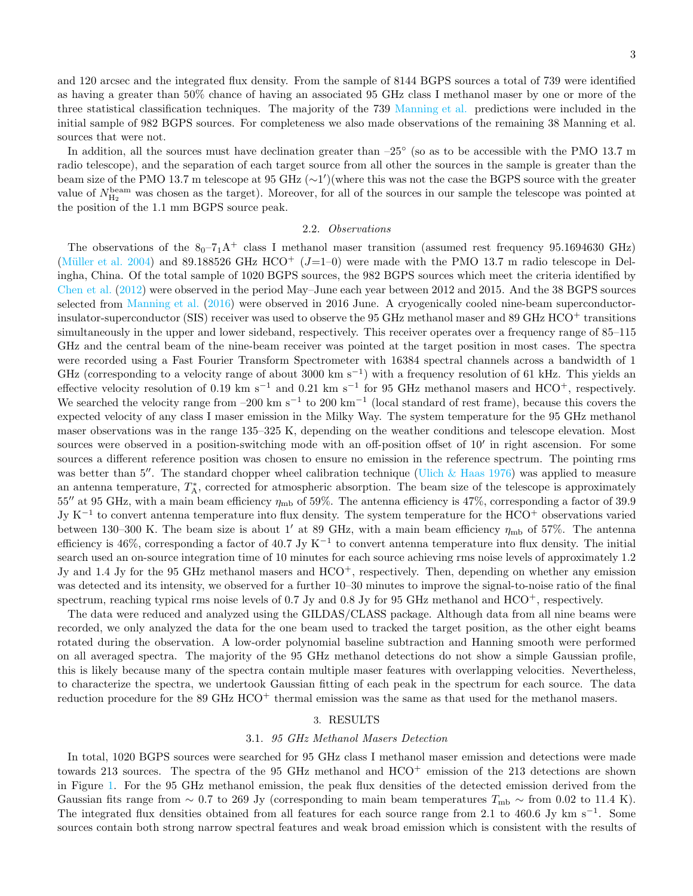and 120 arcsec and the integrated flux density. From the sample of 8144 BGPS sources a total of 739 were identified as having a greater than 50% chance of having an associated 95 GHz class I methanol maser by one or more of the three statistical classification techniques. The majority of the 739 [Manning et al.](#page-9-22) predictions were included in the initial sample of 982 BGPS sources. For completeness we also made observations of the remaining 38 Manning et al. sources that were not.

In addition, all the sources must have declination greater than  $-25^{\circ}$  (so as to be accessible with the PMO 13.7 m radio telescope), and the separation of each target source from all other the sources in the sample is greater than the beam size of the PMO 13.7 m telescope at 95 GHz (∼1 ′ )(where this was not the case the BGPS source with the greater value of  $N_{\text{H}_2}^{\text{beam}}$  was chosen as the target). Moreover, for all of the sources in our sample the telescope was pointed at the position of the 1.1 mm BGPS source peak.

## 2.2. Observations

The observations of the  $8<sub>0</sub> - 7<sub>1</sub>A<sup>+</sup>$  class I methanol maser transition (assumed rest frequency 95.1694630 GHz) (Müller et al. 2004) and 89.188526 GHz HCO<sup>+</sup> ( $J=1-0$ ) were made with the PMO 13.7 m radio telescope in Delingha, China. Of the total sample of 1020 BGPS sources, the 982 BGPS sources which meet the criteria identified by [Chen et al.](#page-9-16) [\(2012\)](#page-9-16) were observed in the period May–June each year between 2012 and 2015. And the 38 BGPS sources selected from [Manning et al.](#page-9-22) [\(2016\)](#page-9-22) were observed in 2016 June. A cryogenically cooled nine-beam superconductorinsulator-superconductor (SIS) receiver was used to observe the 95 GHz methanol maser and 89 GHz HCO<sup>+</sup> transitions simultaneously in the upper and lower sideband, respectively. This receiver operates over a frequency range of  $85-115$ GHz and the central beam of the nine-beam receiver was pointed at the target position in most cases. The spectra were recorded using a Fast Fourier Transform Spectrometer with 16384 spectral channels across a bandwidth of 1 GHz (corresponding to a velocity range of about 3000 km s<sup>-1</sup>) with a frequency resolution of 61 kHz. This yields an effective velocity resolution of 0.19 km s<sup>-1</sup> and 0.21 km s<sup>-1</sup> for 95 GHz methanol masers and HCO<sup>+</sup>, respectively. We searched the velocity range from  $-200 \text{ km s}^{-1}$  to 200 km<sup>-1</sup> (local standard of rest frame), because this covers the expected velocity of any class I maser emission in the Milky Way. The system temperature for the 95 GHz methanol maser observations was in the range 135–325 K, depending on the weather conditions and telescope elevation. Most sources were observed in a position-switching mode with an off-position offset of  $10'$  in right ascension. For some sources a different reference position was chosen to ensure no emission in the reference spectrum. The pointing rms was better than 5<sup>''</sup>. The standard chopper wheel calibration technique (Ulich  $\&$  Haas 1976) was applied to measure an antenna temperature,  $T_A^*$ , corrected for atmospheric absorption. The beam size of the telescope is approximately 55<sup> $\prime\prime$ </sup> at 95 GHz, with a main beam efficiency  $\eta_{\rm mb}$  of 59%. The antenna efficiency is 47%, corresponding a factor of 39.9 Jy K<sup>−</sup><sup>1</sup> to convert antenna temperature into flux density. The system temperature for the HCO<sup>+</sup> observations varied between 130–300 K. The beam size is about 1' at 89 GHz, with a main beam efficiency  $\eta_{\rm mb}$  of 57%. The antenna efficiency is 46%, corresponding a factor of 40.7 Jy K<sup>-1</sup> to convert antenna temperature into flux density. The initial search used an on-source integration time of 10 minutes for each source achieving rms noise levels of approximately 1.2 Jy and 1.4 Jy for the 95 GHz methanol masers and HCO<sup>+</sup>, respectively. Then, depending on whether any emission was detected and its intensity, we observed for a further 10–30 minutes to improve the signal-to-noise ratio of the final spectrum, reaching typical rms noise levels of 0.7 Jy and 0.8 Jy for 95 GHz methanol and  $HCO<sup>+</sup>$ , respectively.

The data were reduced and analyzed using the GILDAS/CLASS package. Although data from all nine beams were recorded, we only analyzed the data for the one beam used to tracked the target position, as the other eight beams rotated during the observation. A low-order polynomial baseline subtraction and Hanning smooth were performed on all averaged spectra. The majority of the 95 GHz methanol detections do not show a simple Gaussian profile, this is likely because many of the spectra contain multiple maser features with overlapping velocities. Nevertheless, to characterize the spectra, we undertook Gaussian fitting of each peak in the spectrum for each source. The data reduction procedure for the 89 GHz  $HCO<sup>+</sup>$  thermal emission was the same as that used for the methanol masers.

### 3. RESULTS

#### 3.1. 95 GHz Methanol Masers Detection

<span id="page-2-1"></span><span id="page-2-0"></span>In total, 1020 BGPS sources were searched for 95 GHz class I methanol maser emission and detections were made towards 213 sources. The spectra of the 95 GHz methanol and  $HCO<sup>+</sup>$  emission of the 213 detections are shown in Figure [1.](#page-10-0) For the 95 GHz methanol emission, the peak flux densities of the detected emission derived from the Gaussian fits range from  $\sim 0.7$  to 269 Jy (corresponding to main beam temperatures  $T_{\rm mb} \sim$  from 0.02 to 11.4 K). The integrated flux densities obtained from all features for each source range from 2.1 to 460.6 Jy km s<sup>-1</sup>. Some sources contain both strong narrow spectral features and weak broad emission which is consistent with the results of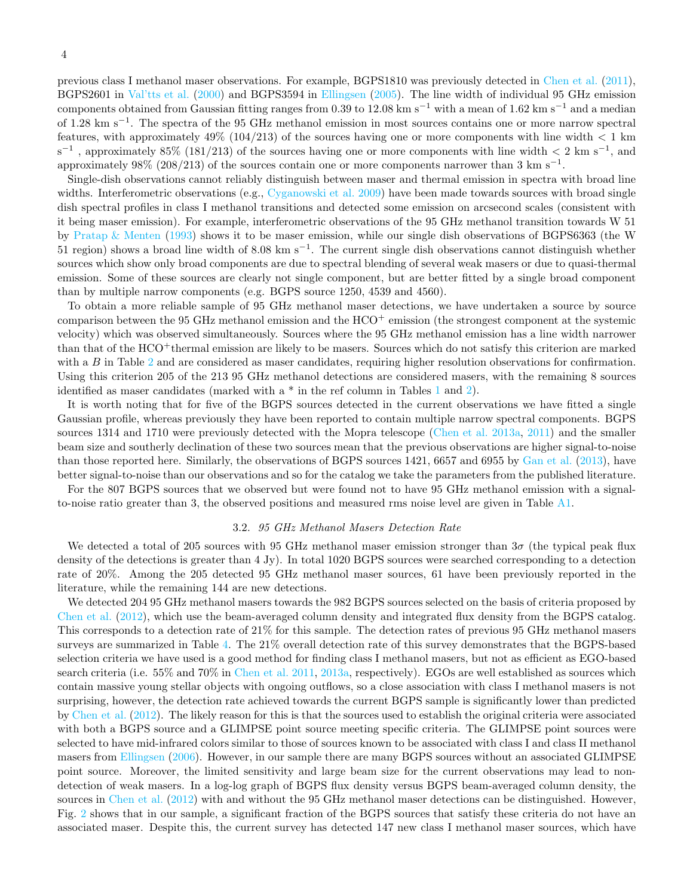previous class I methanol maser observations. For example, BGPS1810 was previously detected in [Chen et al.](#page-9-13) [\(2011](#page-9-13)), BGPS2601 in [Val'tts et al.](#page-9-26) [\(2000\)](#page-9-26) and BGPS3594 in [Ellingsen](#page-9-27) [\(2005\)](#page-9-27). The line width of individual 95 GHz emission components obtained from Gaussian fitting ranges from 0.39 to 12.08 km s<sup>-1</sup> with a mean of 1.62 km s<sup>-1</sup> and a median of 1.28 km s−<sup>1</sup> . The spectra of the 95 GHz methanol emission in most sources contains one or more narrow spectral features, with approximately 49% (104/213) of the sources having one or more components with line width  $\lt 1$  km  $s^{-1}$ , approximately 85% (181/213) of the sources having one or more components with line width  $\lt 2 \text{ km } s^{-1}$ , and approximately 98% (208/213) of the sources contain one or more components narrower than 3 km s<sup>-1</sup>.

Single-dish observations cannot reliably distinguish between maser and thermal emission in spectra with broad line widths. Interferometric observations (e.g., [Cyganowski et al. 2009\)](#page-9-28) have been made towards sources with broad single dish spectral profiles in class I methanol transitions and detected some emission on arcsecond scales (consistent with it being maser emission). For example, interferometric observations of the 95 GHz methanol transition towards W 51 by [Pratap & Menten](#page-9-19) [\(1993\)](#page-9-19) shows it to be maser emission, while our single dish observations of BGPS6363 (the W 51 region) shows a broad line width of 8.08 km s−<sup>1</sup> . The current single dish observations cannot distinguish whether sources which show only broad components are due to spectral blending of several weak masers or due to quasi-thermal emission. Some of these sources are clearly not single component, but are better fitted by a single broad component than by multiple narrow components (e.g. BGPS source 1250, 4539 and 4560).

To obtain a more reliable sample of 95 GHz methanol maser detections, we have undertaken a source by source comparison between the 95 GHz methanol emission and the  $HCO<sup>+</sup>$  emission (the strongest component at the systemic velocity) which was observed simultaneously. Sources where the 95 GHz methanol emission has a line width narrower than that of the HCO<sup>+</sup>thermal emission are likely to be masers. Sources which do not satisfy this criterion are marked with a  $B$  in Table [2](#page-17-0) and are considered as maser candidates, requiring higher resolution observations for confirmation. Using this criterion 205 of the 213 95 GHz methanol detections are considered masers, with the remaining 8 sources identified as maser candidates (marked with  $a * in$  the ref column in Tables [1](#page-17-1) and [2\)](#page-17-0).

It is worth noting that for five of the BGPS sources detected in the current observations we have fitted a single Gaussian profile, whereas previously they have been reported to contain multiple narrow spectral components. BGPS sources 1314 and 1710 were previously detected with the Mopra telescope [\(Chen et al. 2013a,](#page-9-14) [2011](#page-9-13)) and the smaller beam size and southerly declination of these two sources mean that the previous observations are higher signal-to-noise than those reported here. Similarly, the observations of BGPS sources 1421, 6657 and 6955 by [Gan et al.](#page-9-15) [\(2013\)](#page-9-15), have better signal-to-noise than our observations and so for the catalog we take the parameters from the published literature.

For the 807 BGPS sources that we observed but were found not to have 95 GHz methanol emission with a signalto-noise ratio greater than 3, the observed positions and measured rms noise level are given in Table [A1.](#page-17-1)

#### 3.2. 95 GHz Methanol Masers Detection Rate

We detected a total of 205 sources with 95 GHz methanol maser emission stronger than  $3\sigma$  (the typical peak flux density of the detections is greater than 4 Jy). In total 1020 BGPS sources were searched corresponding to a detection rate of 20%. Among the 205 detected 95 GHz methanol maser sources, 61 have been previously reported in the literature, while the remaining 144 are new detections.

We detected 204 95 GHz methanol masers towards the 982 BGPS sources selected on the basis of criteria proposed by [Chen et al.](#page-9-16) [\(2012](#page-9-16)), which use the beam-averaged column density and integrated flux density from the BGPS catalog. This corresponds to a detection rate of 21% for this sample. The detection rates of previous 95 GHz methanol masers surveys are summarized in Table [4.](#page-14-0) The 21% overall detection rate of this survey demonstrates that the BGPS-based selection criteria we have used is a good method for finding class I methanol masers, but not as efficient as EGO-based search criteria (i.e. 55% and 70% in [Chen et al. 2011,](#page-9-13) [2013a,](#page-9-14) respectively). EGOs are well established as sources which contain massive young stellar objects with ongoing outflows, so a close association with class I methanol masers is not surprising, however, the detection rate achieved towards the current BGPS sample is significantly lower than predicted by [Chen et al.](#page-9-16) [\(2012](#page-9-16)). The likely reason for this is that the sources used to establish the original criteria were associated with both a BGPS source and a GLIMPSE point source meeting specific criteria. The GLIMPSE point sources were selected to have mid-infrared colors similar to those of sources known to be associated with class I and class II methanol masers from [Ellingsen](#page-9-29) [\(2006\)](#page-9-29). However, in our sample there are many BGPS sources without an associated GLIMPSE point source. Moreover, the limited sensitivity and large beam size for the current observations may lead to nondetection of weak masers. In a log-log graph of BGPS flux density versus BGPS beam-averaged column density, the sources in [Chen et al.](#page-9-16) [\(2012](#page-9-16)) with and without the 95 GHz methanol maser detections can be distinguished. However, Fig. [2](#page-10-1) shows that in our sample, a significant fraction of the BGPS sources that satisfy these criteria do not have an associated maser. Despite this, the current survey has detected 147 new class I methanol maser sources, which have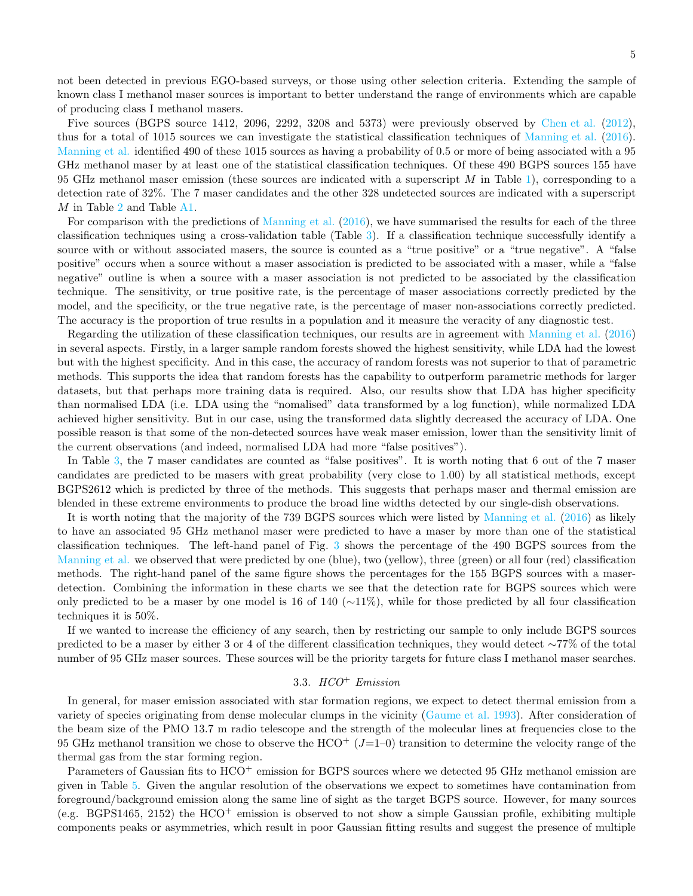not been detected in previous EGO-based surveys, or those using other selection criteria. Extending the sample of known class I methanol maser sources is important to better understand the range of environments which are capable of producing class I methanol masers.

Five sources (BGPS source 1412, 2096, 2292, 3208 and 5373) were previously observed by [Chen et al.](#page-9-16) [\(2012](#page-9-16)), thus for a total of 1015 sources we can investigate the statistical classification techniques of [Manning et al.](#page-9-22) [\(2016](#page-9-22)). [Manning et al.](#page-9-22) identified 490 of these 1015 sources as having a probability of 0.5 or more of being associated with a 95 GHz methanol maser by at least one of the statistical classification techniques. Of these 490 BGPS sources 155 have 95 GHz methanol maser emission (these sources are indicated with a superscript  $M$  in Table [1\)](#page-17-1), corresponding to a detection rate of 32%. The 7 maser candidates and the other 328 undetected sources are indicated with a superscript M in Table [2](#page-17-0) and Table [A1.](#page-17-1)

For comparison with the predictions of [Manning et al.](#page-9-22) [\(2016](#page-9-22)), we have summarised the results for each of the three classification techniques using a cross-validation table (Table [3\)](#page-14-1). If a classification technique successfully identify a source with or without associated masers, the source is counted as a "true positive" or a "true negative". A "false positive" occurs when a source without a maser association is predicted to be associated with a maser, while a "false negative" outline is when a source with a maser association is not predicted to be associated by the classification technique. The sensitivity, or true positive rate, is the percentage of maser associations correctly predicted by the model, and the specificity, or the true negative rate, is the percentage of maser non-associations correctly predicted. The accuracy is the proportion of true results in a population and it measure the veracity of any diagnostic test.

Regarding the utilization of these classification techniques, our results are in agreement with [Manning et al.](#page-9-22) [\(2016](#page-9-22)) in several aspects. Firstly, in a larger sample random forests showed the highest sensitivity, while LDA had the lowest but with the highest specificity. And in this case, the accuracy of random forests was not superior to that of parametric methods. This supports the idea that random forests has the capability to outperform parametric methods for larger datasets, but that perhaps more training data is required. Also, our results show that LDA has higher specificity than normalised LDA (i.e. LDA using the "nomalised" data transformed by a log function), while normalized LDA achieved higher sensitivity. But in our case, using the transformed data slightly decreased the accuracy of LDA. One possible reason is that some of the non-detected sources have weak maser emission, lower than the sensitivity limit of the current observations (and indeed, normalised LDA had more "false positives").

In Table [3,](#page-14-1) the 7 maser candidates are counted as "false positives". It is worth noting that 6 out of the 7 maser candidates are predicted to be masers with great probability (very close to 1.00) by all statistical methods, except BGPS2612 which is predicted by three of the methods. This suggests that perhaps maser and thermal emission are blended in these extreme environments to produce the broad line widths detected by our single-dish observations.

It is worth noting that the majority of the 739 BGPS sources which were listed by [Manning et al.](#page-9-22) [\(2016](#page-9-22)) as likely to have an associated 95 GHz methanol maser were predicted to have a maser by more than one of the statistical classification techniques. The left-hand panel of Fig. [3](#page-11-0) shows the percentage of the 490 BGPS sources from the [Manning et al.](#page-9-22) we observed that were predicted by one (blue), two (yellow), three (green) or all four (red) classification methods. The right-hand panel of the same figure shows the percentages for the 155 BGPS sources with a maserdetection. Combining the information in these charts we see that the detection rate for BGPS sources which were only predicted to be a maser by one model is 16 of 140 ( $\sim$ 11%), while for those predicted by all four classification techniques it is 50%.

If we wanted to increase the efficiency of any search, then by restricting our sample to only include BGPS sources predicted to be a maser by either 3 or 4 of the different classification techniques, they would detect ∼77% of the total number of 95 GHz maser sources. These sources will be the priority targets for future class I methanol maser searches.

## 3.3.  $HCO<sup>+</sup> Emission$

In general, for maser emission associated with star formation regions, we expect to detect thermal emission from a variety of species originating from dense molecular clumps in the vicinity [\(Gaume et al. 1993](#page-9-30)). After consideration of the beam size of the PMO 13.7 m radio telescope and the strength of the molecular lines at frequencies close to the 95 GHz methanol transition we chose to observe the  $HCO<sup>+</sup> (J=1-0)$  transition to determine the velocity range of the thermal gas from the star forming region.

Parameters of Gaussian fits to HCO<sup>+</sup> emission for BGPS sources where we detected 95 GHz methanol emission are given in Table [5.](#page-15-0) Given the angular resolution of the observations we expect to sometimes have contamination from foreground/background emission along the same line of sight as the target BGPS source. However, for many sources (e.g. BGPS1465, 2152) the  $HCO<sup>+</sup>$  emission is observed to not show a simple Gaussian profile, exhibiting multiple components peaks or asymmetries, which result in poor Gaussian fitting results and suggest the presence of multiple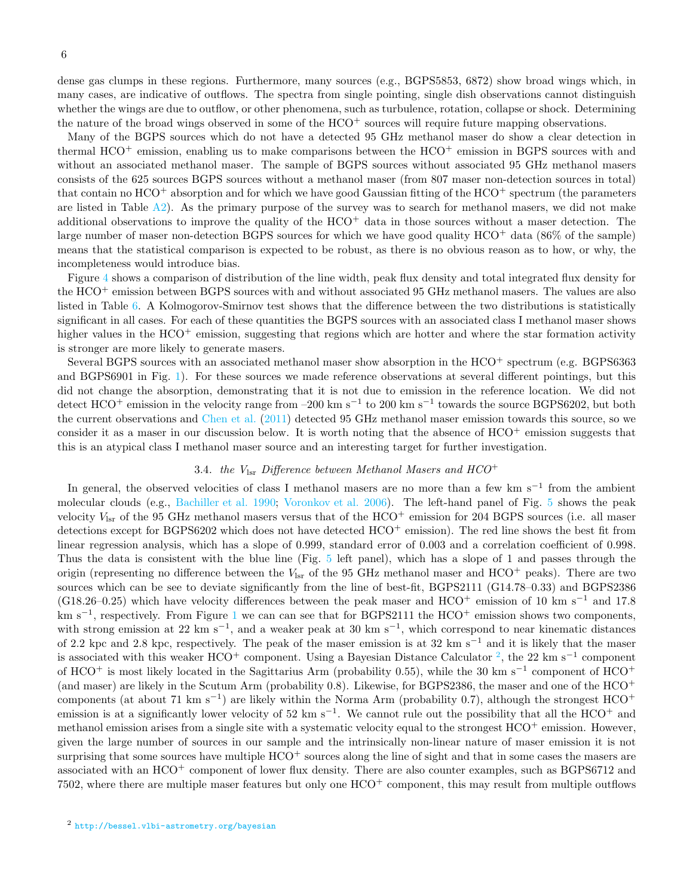dense gas clumps in these regions. Furthermore, many sources (e.g., BGPS5853, 6872) show broad wings which, in many cases, are indicative of outflows. The spectra from single pointing, single dish observations cannot distinguish whether the wings are due to outflow, or other phenomena, such as turbulence, rotation, collapse or shock. Determining the nature of the broad wings observed in some of the  $HCO<sup>+</sup>$  sources will require future mapping observations.

Many of the BGPS sources which do not have a detected 95 GHz methanol maser do show a clear detection in thermal  $HCO^+$  emission, enabling us to make comparisons between the  $HCO^+$  emission in BGPS sources with and without an associated methanol maser. The sample of BGPS sources without associated 95 GHz methanol masers consists of the 625 sources BGPS sources without a methanol maser (from 807 maser non-detection sources in total) that contain no  $HCO^+$  absorption and for which we have good Gaussian fitting of the  $HCO^+$  spectrum (the parameters are listed in Table  $A2$ ). As the primary purpose of the survey was to search for methanol masers, we did not make additional observations to improve the quality of the  $HCO<sup>+</sup>$  data in those sources without a maser detection. The large number of maser non-detection BGPS sources for which we have good quality HCO<sup>+</sup> data (86% of the sample) means that the statistical comparison is expected to be robust, as there is no obvious reason as to how, or why, the incompleteness would introduce bias.

Figure [4](#page-11-1) shows a comparison of distribution of the line width, peak flux density and total integrated flux density for the HCO<sup>+</sup> emission between BGPS sources with and without associated 95 GHz methanol masers. The values are also listed in Table [6.](#page-16-0) A Kolmogorov-Smirnov test shows that the difference between the two distributions is statistically significant in all cases. For each of these quantities the BGPS sources with an associated class I methanol maser shows higher values in the  $HCO^+$  emission, suggesting that regions which are hotter and where the star formation activity is stronger are more likely to generate masers.

Several BGPS sources with an associated methanol maser show absorption in the  $HCO<sup>+</sup>$  spectrum (e.g. BGPS6363 and BGPS6901 in Fig. [1\)](#page-10-0). For these sources we made reference observations at several different pointings, but this did not change the absorption, demonstrating that it is not due to emission in the reference location. We did not detect HCO<sup>+</sup> emission in the velocity range from –200 km s<sup>-1</sup> to 200 km s<sup>-1</sup> towards the source BGPS6202, but both the current observations and [Chen et al.](#page-9-13) [\(2011\)](#page-9-13) detected 95 GHz methanol maser emission towards this source, so we consider it as a maser in our discussion below. It is worth noting that the absence of  $HCO<sup>+</sup>$  emission suggests that this is an atypical class I methanol maser source and an interesting target for further investigation.

## 3.4. the  $V_{\text{lsr}}$  Difference between Methanol Masers and HCO<sup>+</sup>

<span id="page-5-0"></span>In general, the observed velocities of class I methanol masers are no more than a few km s<sup>−</sup><sup>1</sup> from the ambient molecular clouds (e.g., [Bachiller et al. 1990;](#page-9-31) [Voronkov et al. 2006\)](#page-9-32). The left-hand panel of Fig. [5](#page-11-2) shows the peak velocity  $V_{\text{lsr}}$  of the 95 GHz methanol masers versus that of the  $HCO^+$  emission for 204 BGPS sources (i.e. all maser detections except for BGPS6202 which does not have detected HCO<sup>+</sup> emission). The red line shows the best fit from linear regression analysis, which has a slope of 0.999, standard error of 0.003 and a correlation coefficient of 0.998. Thus the data is consistent with the blue line (Fig. [5](#page-11-2) left panel), which has a slope of 1 and passes through the origin (representing no difference between the  $V_{\text{lsr}}$  of the 95 GHz methanol maser and  $\text{HCO}^+$  peaks). There are two sources which can be see to deviate significantly from the line of best-fit, BGPS2111 (G14.78–0.33) and BGPS2386 (G18.26–0.25) which have velocity differences between the peak maser and HCO<sup>+</sup> emission of 10 km s<sup>−1</sup> and 17.8 km s<sup>-[1](#page-10-0)</sup>, respectively. From Figure 1 we can can see that for BGPS2111 the HCO<sup>+</sup> emission shows two components, with strong emission at 22 km s<sup>-1</sup>, and a weaker peak at 30 km s<sup>-1</sup>, which correspond to near kinematic distances of 2.2 kpc and 2.8 kpc, respectively. The peak of the maser emission is at 32 km s<sup>−1</sup> and it is likely that the maser is associated with this weaker HCO<sup>+</sup> component. Using a Bayesian Distance Calculator <sup>[2](#page-5-0)</sup>, the 22 km s<sup>-1</sup> component of HCO<sup>+</sup> is most likely located in the Sagittarius Arm (probability 0.55), while the 30 km s<sup>-1</sup> component of HCO<sup>+</sup> (and maser) are likely in the Scutum Arm (probability  $(0.8)$ . Likewise, for BGPS2386, the maser and one of the  $HCO<sup>+</sup>$ components (at about 71 km s<sup>−</sup><sup>1</sup> ) are likely within the Norma Arm (probability 0.7), although the strongest HCO<sup>+</sup> emission is at a significantly lower velocity of 52 km s<sup>-1</sup>. We cannot rule out the possibility that all the  $HCO^+$  and methanol emission arises from a single site with a systematic velocity equal to the strongest HCO<sup>+</sup> emission. However, given the large number of sources in our sample and the intrinsically non-linear nature of maser emission it is not surprising that some sources have multiple  $HCO<sup>+</sup>$  sources along the line of sight and that in some cases the masers are associated with an HCO<sup>+</sup> component of lower flux density. There are also counter examples, such as BGPS6712 and 7502, where there are multiple maser features but only one HCO<sup>+</sup> component, this may result from multiple outflows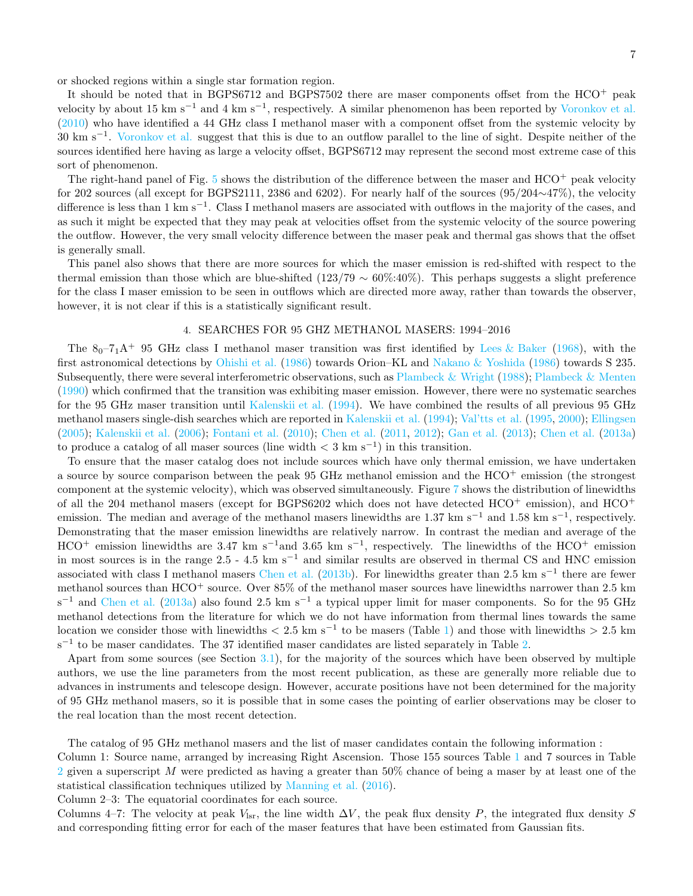or shocked regions within a single star formation region.

It should be noted that in BGPS6712 and BGPS7502 there are maser components offset from the  $HCO<sup>+</sup>$  peak velocity by about 15 km s<sup>-1</sup> and 4 km s<sup>-1</sup>, respectively. A similar phenomenon has been reported by [Voronkov et al.](#page-9-33)  $(2010)$  who have identified a 44 GHz class I methanol maser with a component offset from the systemic velocity by 30 km s<sup>-1</sup>. [Voronkov et al.](#page-9-33) suggest that this is due to an outflow parallel to the line of sight. Despite neither of the sources identified here having as large a velocity offset, BGPS6712 may represent the second most extreme case of this sort of phenomenon.

The right-hand panel of Fig. [5](#page-11-2) shows the distribution of the difference between the maser and HCO<sup>+</sup> peak velocity for 202 sources (all except for BGPS2111, 2386 and 6202). For nearly half of the sources (95/204∼47%), the velocity difference is less than 1 km s<sup>-1</sup>. Class I methanol masers are associated with outflows in the majority of the cases, and as such it might be expected that they may peak at velocities offset from the systemic velocity of the source powering the outflow. However, the very small velocity difference between the maser peak and thermal gas shows that the offset is generally small.

This panel also shows that there are more sources for which the maser emission is red-shifted with respect to the thermal emission than those which are blue-shifted (123/79  $\sim 60\%$ :40%). This perhaps suggests a slight preference for the class I maser emission to be seen in outflows which are directed more away, rather than towards the observer, however, it is not clear if this is a statistically significant result.

## 4. SEARCHES FOR 95 GHZ METHANOL MASERS: 1994–2016

<span id="page-6-0"></span>The  $8_0 - 7_1$ A<sup>+</sup> 95 GHz class I methanol maser transition was first identified by [Lees & Baker](#page-9-34) [\(1968\)](#page-9-34), with the first astronomical detections by [Ohishi et al.](#page-9-35) [\(1986\)](#page-9-35) towards Orion–KL and [Nakano & Yoshida](#page-9-36) [\(1986](#page-9-36)) towards S 235. Subsequently, there were several interferometric observations, such as [Plambeck & Wright](#page-9-17) [\(1988\)](#page-9-17); [Plambeck & Menten](#page-9-18) [\(1990\)](#page-9-18) which confirmed that the transition was exhibiting maser emission. However, there were no systematic searches for the 95 GHz maser transition until [Kalenskii et al.](#page-9-37) [\(1994\)](#page-9-37). We have combined the results of all previous 95 GHz methanol masers single-dish searches which are reported in [Kalenskii et al.](#page-9-37) [\(1994\)](#page-9-37); [Val'tts et al.](#page-9-38) [\(1995,](#page-9-38) [2000](#page-9-26)); [Ellingsen](#page-9-27) [\(2005\)](#page-9-27); [Kalenskii et al.](#page-9-39) [\(2006\)](#page-9-39); [Fontani et al.](#page-9-40) [\(2010\)](#page-9-40); [Chen et al.](#page-9-13) [\(2011,](#page-9-13) [2012\)](#page-9-16); [Gan et al.](#page-9-15) [\(2013\)](#page-9-15); [Chen et al.](#page-9-14) [\(2013a](#page-9-14)) to produce a catalog of all maser sources (line width  $\lt 3 \text{ km s}^{-1}$ ) in this transition.

To ensure that the maser catalog does not include sources which have only thermal emission, we have undertaken a source by source comparison between the peak 95 GHz methanol emission and the  $HCO<sup>+</sup>$  emission (the strongest component at the systemic velocity), which was observed simultaneously. Figure [7](#page-12-0) shows the distribution of linewidths of all the 204 methanol masers (except for BGPS6202 which does not have detected  $HCO<sup>+</sup>$  emission), and  $HCO<sup>+</sup>$ emission. The median and average of the methanol masers linewidths are 1.37 km s<sup>-1</sup> and 1.58 km s<sup>-1</sup>, respectively. Demonstrating that the maser emission linewidths are relatively narrow. In contrast the median and average of the  $HCO^+$  emission linewidths are 3.47 km s<sup>-1</sup>and 3.65 km s<sup>-1</sup>, respectively. The linewidths of the  $HCO^+$  emission in most sources is in the range 2.5 - 4.5 km s<sup> $-1$ </sup> and similar results are observed in thermal CS and HNC emission associated with class I methanol masers [Chen et al.](#page-9-41) [\(2013b\)](#page-9-41). For linewidths greater than 2.5 km s<sup>-1</sup> there are fewer methanol sources than HCO<sup>+</sup> source. Over 85% of the methanol maser sources have linewidths narrower than 2.5 km s<sup>-1</sup> and [Chen et al.](#page-9-14) [\(2013a](#page-9-14)) also found 2.5 km s<sup>-1</sup> a typical upper limit for maser components. So for the 95 GHz methanol detections from the literature for which we do not have information from thermal lines towards the same location we consider those with linewidths  $\langle 2.5 \text{ km s}^{-1}$  to be masers (Table [1\)](#page-17-1) and those with linewidths  $> 2.5 \text{ km}$  $s^{-1}$  to be maser candidates. The 37 identified maser candidates are listed separately in Table [2.](#page-17-0)

Apart from some sources (see Section [3.1\)](#page-2-1), for the majority of the sources which have been observed by multiple authors, we use the line parameters from the most recent publication, as these are generally more reliable due to advances in instruments and telescope design. However, accurate positions have not been determined for the majority of 95 GHz methanol masers, so it is possible that in some cases the pointing of earlier observations may be closer to the real location than the most recent detection.

The catalog of 95 GHz methanol masers and the list of maser candidates contain the following information :

Column 1: Source name, arranged by increasing Right Ascension. Those 155 sources Table [1](#page-17-1) and 7 sources in Table [2](#page-17-0) given a superscript M were predicted as having a greater than  $50\%$  chance of being a maser by at least one of the statistical classification techniques utilized by [Manning et al.](#page-9-22) [\(2016\)](#page-9-22).

Column 2–3: The equatorial coordinates for each source.

Columns 4–7: The velocity at peak  $V_{\rm lsr}$ , the line width  $\Delta V$ , the peak flux density P, the integrated flux density S and corresponding fitting error for each of the maser features that have been estimated from Gaussian fits.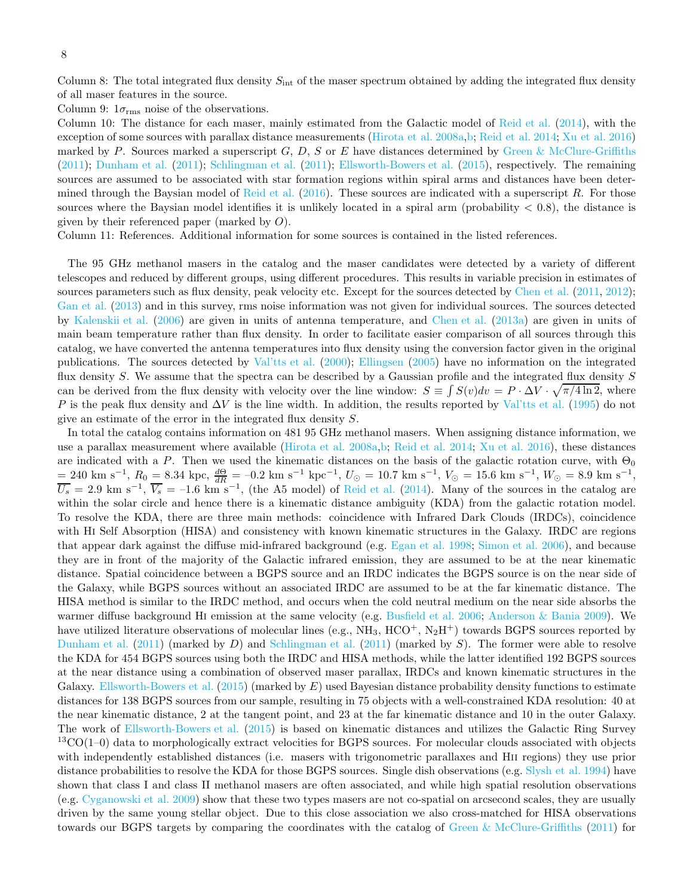Column 8: The total integrated flux density  $S_{\text{int}}$  of the maser spectrum obtained by adding the integrated flux density of all maser features in the source.

Column 9:  $1\sigma_{\rm rms}$  noise of the observations.

Column 10: The distance for each maser, mainly estimated from the Galactic model of [Reid et al.](#page-9-42) [\(2014\)](#page-9-42), with the exception of some sources with parallax distance measurements [\(Hirota et al. 2008a](#page-9-43)[,b](#page-9-44); [Reid et al. 2014;](#page-9-42) [Xu et al. 2016](#page-9-45)) marked by P. Sources marked a superscript  $G, D, S$  or E have distances determined by [Green & McClure-Griffiths](#page-9-46) [\(2011\)](#page-9-46); [Dunham et al.](#page-9-47) [\(2011\)](#page-9-47); [Schlingman et al.](#page-9-48) [\(2011](#page-9-48)); [Ellsworth-Bowers et al.](#page-9-49) [\(2015\)](#page-9-49), respectively. The remaining sources are assumed to be associated with star formation regions within spiral arms and distances have been deter-mined through the Baysian model of [Reid et al.](#page-9-50)  $(2016)$ . These sources are indicated with a superscript R. For those sources where the Baysian model identifies it is unlikely located in a spiral arm (probability  $< 0.8$ ), the distance is given by their referenced paper (marked by  $O$ ).

Column 11: References. Additional information for some sources is contained in the listed references.

The 95 GHz methanol masers in the catalog and the maser candidates were detected by a variety of different telescopes and reduced by different groups, using different procedures. This results in variable precision in estimates of sources parameters such as flux density, peak velocity etc. Except for the sources detected by [Chen et al.](#page-9-13) [\(2011,](#page-9-13) [2012](#page-9-16)); [Gan et al.](#page-9-15) [\(2013\)](#page-9-15) and in this survey, rms noise information was not given for individual sources. The sources detected by [Kalenskii et al.](#page-9-39) [\(2006](#page-9-39)) are given in units of antenna temperature, and [Chen et al.](#page-9-14) [\(2013a](#page-9-14)) are given in units of main beam temperature rather than flux density. In order to facilitate easier comparison of all sources through this catalog, we have converted the antenna temperatures into flux density using the conversion factor given in the original publications. The sources detected by [Val'tts et al.](#page-9-26) [\(2000\)](#page-9-26); [Ellingsen](#page-9-27) [\(2005\)](#page-9-27) have no information on the integrated flux density S. We assume that the spectra can be described by a Gaussian profile and the integrated flux density  $S$ can be derived from the flux density with velocity over the line window:  $S \equiv \int S(v)dv = P \cdot \Delta V \cdot \sqrt{\pi/4 \ln 2}$ , where P is the peak flux density and  $\Delta V$  is the line width. In addition, the results reported by [Val'tts et al.](#page-9-38) [\(1995](#page-9-38)) do not give an estimate of the error in the integrated flux density S.

In total the catalog contains information on 481 95 GHz methanol masers. When assigning distance information, we use a parallax measurement where available [\(Hirota et al. 2008a](#page-9-43)[,b;](#page-9-44) [Reid et al. 2014;](#page-9-42) [Xu et al. 2016](#page-9-45)), these distances are indicated with a P. Then we used the kinematic distances on the basis of the galactic rotation curve, with  $\Theta_0$  $= 240 \text{ km s}^{-1}, R_0 = 8.34 \text{ kpc}, \frac{d\Theta}{dR} = -0.2 \text{ km s}^{-1} \text{ kpc}^{-1}, U_\odot = 10.7 \text{ km s}^{-1}, V_\odot = 15.6 \text{ km s}^{-1}, W_\odot = 8.9 \text{ km s}^{-1},$  $\overline{U_s} = 2.9 \text{ km s}^{-1}, \overline{V_s} = -1.6 \text{ km s}^{-1}, \text{ (the A5 model) of Reid et al. (2014). Many of the sources in the catalog are }$  $\overline{U_s} = 2.9 \text{ km s}^{-1}, \overline{V_s} = -1.6 \text{ km s}^{-1}, \text{ (the A5 model) of Reid et al. (2014). Many of the sources in the catalog are }$  $\overline{U_s} = 2.9 \text{ km s}^{-1}, \overline{V_s} = -1.6 \text{ km s}^{-1}, \text{ (the A5 model) of Reid et al. (2014). Many of the sources in the catalog are }$  $\overline{U_s} = 2.9 \text{ km s}^{-1}, \overline{V_s} = -1.6 \text{ km s}^{-1}, \text{ (the A5 model) of Reid et al. (2014). Many of the sources in the catalog are }$  $\overline{U_s} = 2.9 \text{ km s}^{-1}, \overline{V_s} = -1.6 \text{ km s}^{-1}, \text{ (the A5 model) of Reid et al. (2014). Many of the sources in the catalog are }$ within the solar circle and hence there is a kinematic distance ambiguity (KDA) from the galactic rotation model. To resolve the KDA, there are three main methods: coincidence with Infrared Dark Clouds (IRDCs), coincidence with HI Self Absorption (HISA) and consistency with known kinematic structures in the Galaxy. IRDC are regions that appear dark against the diffuse mid-infrared background (e.g. [Egan et al. 1998;](#page-9-51) [Simon et al. 2006\)](#page-9-52), and because they are in front of the majority of the Galactic infrared emission, they are assumed to be at the near kinematic distance. Spatial coincidence between a BGPS source and an IRDC indicates the BGPS source is on the near side of the Galaxy, while BGPS sources without an associated IRDC are assumed to be at the far kinematic distance. The HISA method is similar to the IRDC method, and occurs when the cold neutral medium on the near side absorbs the warmer diffuse background HI emission at the same velocity (e.g. [Busfield et al. 2006](#page-9-53); [Anderson & Bania 2009](#page-8-2)). We have utilized literature observations of molecular lines (e.g.,  $NH_3$ ,  $HCO^+$ ,  $N_2H^+$ ) towards BGPS sources reported by [Dunham et al.](#page-9-47)  $(2011)$  $(2011)$  (marked by D) and [Schlingman et al.](#page-9-48)  $(2011)$  (marked by S). The former were able to resolve the KDA for 454 BGPS sources using both the IRDC and HISA methods, while the latter identified 192 BGPS sources at the near distance using a combination of observed maser parallax, IRDCs and known kinematic structures in the Galaxy. [Ellsworth-Bowers et al.](#page-9-49) [\(2015\)](#page-9-49) (marked by  $E$ ) used Bayesian distance probability density functions to estimate distances for 138 BGPS sources from our sample, resulting in 75 objects with a well-constrained KDA resolution: 40 at the near kinematic distance, 2 at the tangent point, and 23 at the far kinematic distance and 10 in the outer Galaxy. The work of [Ellsworth-Bowers et al.](#page-9-49) [\(2015\)](#page-9-49) is based on kinematic distances and utilizes the Galactic Ring Survey  ${}^{13}$ CO(1–0) data to morphologically extract velocities for BGPS sources. For molecular clouds associated with objects with independently established distances (i.e. masers with trigonometric parallaxes and Hii regions) they use prior distance probabilities to resolve the KDA for those BGPS sources. Single dish observations (e.g. [Slysh et al. 1994\)](#page-9-54) have shown that class I and class II methanol masers are often associated, and while high spatial resolution observations (e.g. [Cyganowski et al. 2009\)](#page-9-28) show that these two types masers are not co-spatial on arcsecond scales, they are usually driven by the same young stellar object. Due to this close association we also cross-matched for HISA observations towards our BGPS targets by comparing the coordinates with the catalog of [Green & McClure-Griffiths](#page-9-46) [\(2011](#page-9-46)) for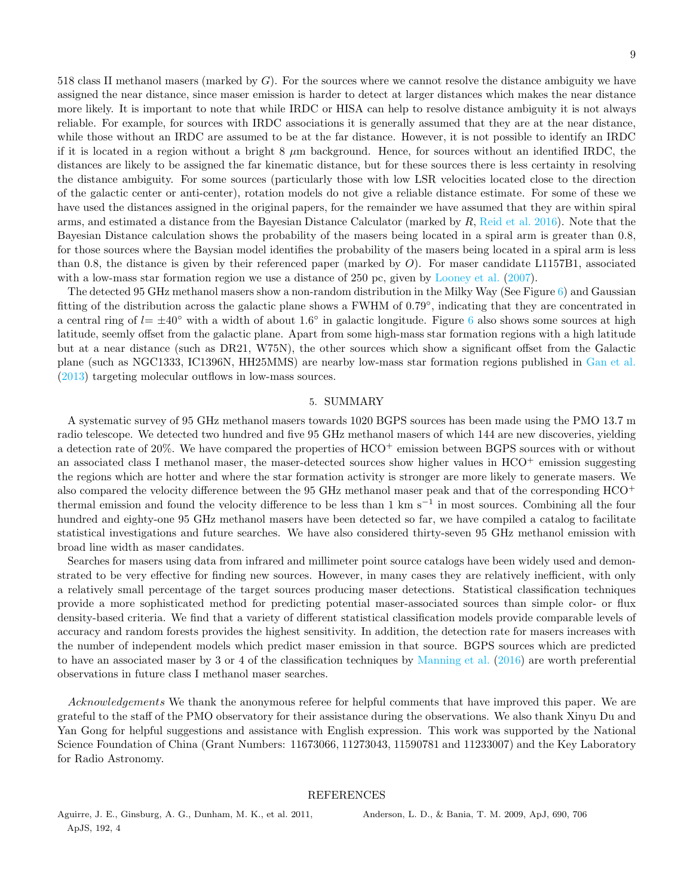518 class II methanol masers (marked by  $G$ ). For the sources where we cannot resolve the distance ambiguity we have assigned the near distance, since maser emission is harder to detect at larger distances which makes the near distance more likely. It is important to note that while IRDC or HISA can help to resolve distance ambiguity it is not always reliable. For example, for sources with IRDC associations it is generally assumed that they are at the near distance, while those without an IRDC are assumed to be at the far distance. However, it is not possible to identify an IRDC if it is located in a region without a bright  $8 \mu m$  background. Hence, for sources without an identified IRDC, the distances are likely to be assigned the far kinematic distance, but for these sources there is less certainty in resolving the distance ambiguity. For some sources (particularly those with low LSR velocities located close to the direction of the galactic center or anti-center), rotation models do not give a reliable distance estimate. For some of these we have used the distances assigned in the original papers, for the remainder we have assumed that they are within spiral arms, and estimated a distance from the Bayesian Distance Calculator (marked by  $R$ , [Reid et al. 2016](#page-9-50)). Note that the Bayesian Distance calculation shows the probability of the masers being located in a spiral arm is greater than 0.8, for those sources where the Baysian model identifies the probability of the masers being located in a spiral arm is less than 0.8, the distance is given by their referenced paper (marked by  $O$ ). For maser candidate L1157B1, associated with a low-mass star formation region we use a distance of 250 pc, given by [Looney et al.](#page-9-55) [\(2007\)](#page-9-55).

The detected 95 GHz methanol masers show a non-random distribution in the Milky Way (See Figure [6\)](#page-12-1) and Gaussian fitting of the distribution across the galactic plane shows a FWHM of 0.79°, indicating that they are concentrated in a central ring of  $l = \pm 40^{\circ}$  with a width of about 1.[6](#page-12-1)<sup>°</sup> in galactic longitude. Figure 6 also shows some sources at high latitude, seemly offset from the galactic plane. Apart from some high-mass star formation regions with a high latitude but at a near distance (such as DR21, W75N), the other sources which show a significant offset from the Galactic plane (such as NGC1333, IC1396N, HH25MMS) are nearby low-mass star formation regions published in [Gan et al.](#page-9-15) [\(2013\)](#page-9-15) targeting molecular outflows in low-mass sources.

#### 5. SUMMARY

<span id="page-8-0"></span>A systematic survey of 95 GHz methanol masers towards 1020 BGPS sources has been made using the PMO 13.7 m radio telescope. We detected two hundred and five 95 GHz methanol masers of which 144 are new discoveries, yielding a detection rate of 20%. We have compared the properties of HCO<sup>+</sup> emission between BGPS sources with or without an associated class I methanol maser, the maser-detected sources show higher values in  $HCO^+$  emission suggesting the regions which are hotter and where the star formation activity is stronger are more likely to generate masers. We also compared the velocity difference between the 95 GHz methanol maser peak and that of the corresponding  $HCO<sup>+</sup>$ thermal emission and found the velocity difference to be less than 1 km s<sup>−</sup><sup>1</sup> in most sources. Combining all the four hundred and eighty-one 95 GHz methanol masers have been detected so far, we have compiled a catalog to facilitate statistical investigations and future searches. We have also considered thirty-seven 95 GHz methanol emission with broad line width as maser candidates.

Searches for masers using data from infrared and millimeter point source catalogs have been widely used and demonstrated to be very effective for finding new sources. However, in many cases they are relatively inefficient, with only a relatively small percentage of the target sources producing maser detections. Statistical classification techniques provide a more sophisticated method for predicting potential maser-associated sources than simple color- or flux density-based criteria. We find that a variety of different statistical classification models provide comparable levels of accuracy and random forests provides the highest sensitivity. In addition, the detection rate for masers increases with the number of independent models which predict maser emission in that source. BGPS sources which are predicted to have an associated maser by 3 or 4 of the classification techniques by [Manning et al.](#page-9-22) [\(2016](#page-9-22)) are worth preferential observations in future class I methanol maser searches.

Acknowledgements We thank the anonymous referee for helpful comments that have improved this paper. We are grateful to the staff of the PMO observatory for their assistance during the observations. We also thank Xinyu Du and Yan Gong for helpful suggestions and assistance with English expression. This work was supported by the National Science Foundation of China (Grant Numbers: 11673066, 11273043, 11590781 and 11233007) and the Key Laboratory for Radio Astronomy.

## REFERENCES

<span id="page-8-1"></span>Aguirre, J. E., Ginsburg, A. G., Dunham, M. K., et al. 2011, ApJS, 192, 4

<span id="page-8-2"></span>Anderson, L. D., & Bania, T. M. 2009, ApJ, 690, 706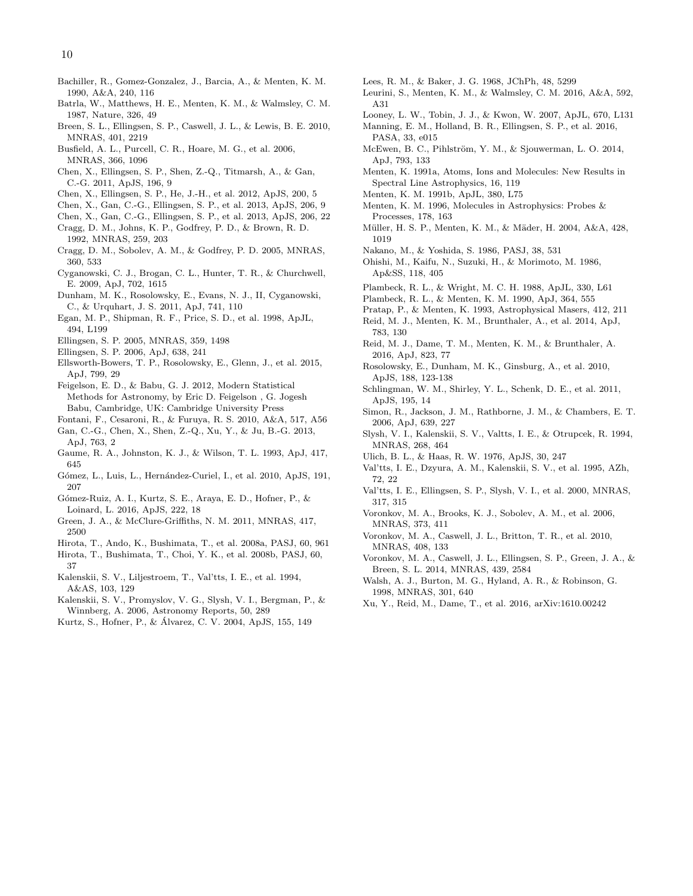- <span id="page-9-31"></span>Bachiller, R., Gomez-Gonzalez, J., Barcia, A., & Menten, K. M. 1990, A&A, 240, 116
- <span id="page-9-2"></span>Batrla, W., Matthews, H. E., Menten, K. M., & Walmsley, C. M. 1987, Nature, 326, 49
- <span id="page-9-20"></span>Breen, S. L., Ellingsen, S. P., Caswell, J. L., & Lewis, B. E. 2010, MNRAS, 401, 2219
- <span id="page-9-53"></span>Busfield, A. L., Purcell, C. R., Hoare, M. G., et al. 2006, MNRAS, 366, 1096
- <span id="page-9-13"></span>Chen, X., Ellingsen, S. P., Shen, Z.-Q., Titmarsh, A., & Gan, C.-G. 2011, ApJS, 196, 9
- <span id="page-9-16"></span>Chen, X., Ellingsen, S. P., He, J.-H., et al. 2012, ApJS, 200, 5
- <span id="page-9-14"></span>Chen, X., Gan, C.-G., Ellingsen, S. P., et al. 2013, ApJS, 206, 9
- <span id="page-9-41"></span>Chen, X., Gan, C.-G., Ellingsen, S. P., et al. 2013, ApJS, 206, 22
- <span id="page-9-4"></span>Cragg, D. M., Johns, K. P., Godfrey, P. D., & Brown, R. D. 1992, MNRAS, 259, 203
- <span id="page-9-5"></span>Cragg, D. M., Sobolev, A. M., & Godfrey, P. D. 2005, MNRAS, 360, 533
- <span id="page-9-28"></span>Cyganowski, C. J., Brogan, C. L., Hunter, T. R., & Churchwell, E. 2009, ApJ, 702, 1615
- <span id="page-9-47"></span>Dunham, M. K., Rosolowsky, E., Evans, N. J., II, Cyganowski, C., & Urquhart, J. S. 2011, ApJ, 741, 110
- <span id="page-9-51"></span>Egan, M. P., Shipman, R. F., Price, S. D., et al. 1998, ApJL, 494, L199
- <span id="page-9-27"></span>Ellingsen, S. P. 2005, MNRAS, 359, 1498
- <span id="page-9-29"></span>Ellingsen, S. P. 2006, ApJ, 638, 241
- <span id="page-9-49"></span>Ellsworth-Bowers, T. P., Rosolowsky, E., Glenn, J., et al. 2015, ApJ, 799, 29
- <span id="page-9-23"></span>Feigelson, E. D., & Babu, G. J. 2012, Modern Statistical Methods for Astronomy, by Eric D. Feigelson , G. Jogesh Babu, Cambridge, UK: Cambridge University Press
- <span id="page-9-40"></span>Fontani, F., Cesaroni, R., & Furuya, R. S. 2010, A&A, 517, A56
- <span id="page-9-15"></span>Gan, C.-G., Chen, X., Shen, Z.-Q., Xu, Y., & Ju, B.-G. 2013, ApJ, 763, 2
- <span id="page-9-30"></span>Gaume, R. A., Johnston, K. J., & Wilson, T. L. 1993, ApJ, 417, 645
- <span id="page-9-11"></span>Gómez, L., Luis, L., Hernández-Curiel, I., et al. 2010, ApJS, 191, 207
- <span id="page-9-9"></span>Gómez-Ruiz, A. I., Kurtz, S. E., Araya, E. D., Hofner, P., & Loinard, L. 2016, ApJS, 222, 18
- <span id="page-9-46"></span>Green, J. A., & McClure-Griffiths, N. M. 2011, MNRAS, 417, 2500
- <span id="page-9-43"></span>Hirota, T., Ando, K., Bushimata, T., et al. 2008a, PASJ, 60, 961
- <span id="page-9-44"></span>Hirota, T., Bushimata, T., Choi, Y. K., et al. 2008b, PASJ, 60, 37
- <span id="page-9-37"></span>Kalenskii, S. V., Liljestroem, T., Val'tts, I. E., et al. 1994, A&AS, 103, 129
- <span id="page-9-39"></span>Kalenskii, S. V., Promyslov, V. G., Slysh, V. I., Bergman, P., & Winnberg, A. 2006, Astronomy Reports, 50, 289
- <span id="page-9-12"></span>Kurtz, S., Hofner, P., & Alvarez, C. V. 2004, ApJS, 155, 149 ´
- <span id="page-9-34"></span>Lees, R. M., & Baker, J. G. 1968, JChPh, 48, 5299
- <span id="page-9-8"></span>Leurini, S., Menten, K. M., & Walmsley, C. M. 2016, A&A, 592, A31
- <span id="page-9-55"></span>Looney, L. W., Tobin, J. J., & Kwon, W. 2007, ApJL, 670, L131
- <span id="page-9-22"></span>Manning, E. M., Holland, B. R., Ellingsen, S. P., et al. 2016, PASA, 33, e015
- <span id="page-9-7"></span>McEwen, B. C., Pihlström, Y. M., & Sjouwerman, L. O. 2014, ApJ, 793, 133
- <span id="page-9-0"></span>Menten, K. 1991a, Atoms, Ions and Molecules: New Results in Spectral Line Astrophysics, 16, 119
- <span id="page-9-1"></span>Menten, K. M. 1991b, ApJL, 380, L75
- <span id="page-9-6"></span>Menten, K. M. 1996, Molecules in Astrophysics: Probes & Processes, 178, 163
- <span id="page-9-24"></span>M¨uller, H. S. P., Menten, K. M., & M¨ader, H. 2004, A&A, 428, 1019
- <span id="page-9-36"></span>Nakano, M., & Yoshida, S. 1986, PASJ, 38, 531
- <span id="page-9-35"></span>Ohishi, M., Kaifu, N., Suzuki, H., & Morimoto, M. 1986, Ap&SS, 118, 405
- <span id="page-9-17"></span>Plambeck, R. L., & Wright, M. C. H. 1988, ApJL, 330, L61
- <span id="page-9-18"></span>Plambeck, R. L., & Menten, K. M. 1990, ApJ, 364, 555
- <span id="page-9-42"></span><span id="page-9-19"></span>Pratap, P., & Menten, K. 1993, Astrophysical Masers, 412, 211 Reid, M. J., Menten, K. M., Brunthaler, A., et al. 2014, ApJ, 783, 130
- <span id="page-9-50"></span>Reid, M. J., Dame, T. M., Menten, K. M., & Brunthaler, A. 2016, ApJ, 823, 77
- <span id="page-9-21"></span>Rosolowsky, E., Dunham, M. K., Ginsburg, A., et al. 2010, ApJS, 188, 123-138
- <span id="page-9-48"></span>Schlingman, W. M., Shirley, Y. L., Schenk, D. E., et al. 2011, ApJS, 195, 14
- <span id="page-9-52"></span>Simon, R., Jackson, J. M., Rathborne, J. M., & Chambers, E. T. 2006, ApJ, 639, 227
- <span id="page-9-54"></span>Slysh, V. I., Kalenskii, S. V., Valtts, I. E., & Otrupcek, R. 1994, MNRAS, 268, 464
- <span id="page-9-25"></span>Ulich, B. L., & Haas, R. W. 1976, ApJS, 30, 247
- <span id="page-9-38"></span>Val'tts, I. E., Dzyura, A. M., Kalenskii, S. V., et al. 1995, AZh, 72, 22
- <span id="page-9-26"></span>Val'tts, I. E., Ellingsen, S. P., Slysh, V. I., et al. 2000, MNRAS, 317, 315
- <span id="page-9-32"></span>Voronkov, M. A., Brooks, K. J., Sobolev, A. M., et al. 2006, MNRAS, 373, 411
- <span id="page-9-33"></span>Voronkov, M. A., Caswell, J. L., Britton, T. R., et al. 2010, MNRAS, 408, 133
- <span id="page-9-10"></span>Voronkov, M. A., Caswell, J. L., Ellingsen, S. P., Green, J. A., & Breen, S. L. 2014, MNRAS, 439, 2584
- <span id="page-9-3"></span>Walsh, A. J., Burton, M. G., Hyland, A. R., & Robinson, G. 1998, MNRAS, 301, 640
- <span id="page-9-45"></span>Xu, Y., Reid, M., Dame, T., et al. 2016, arXiv:1610.00242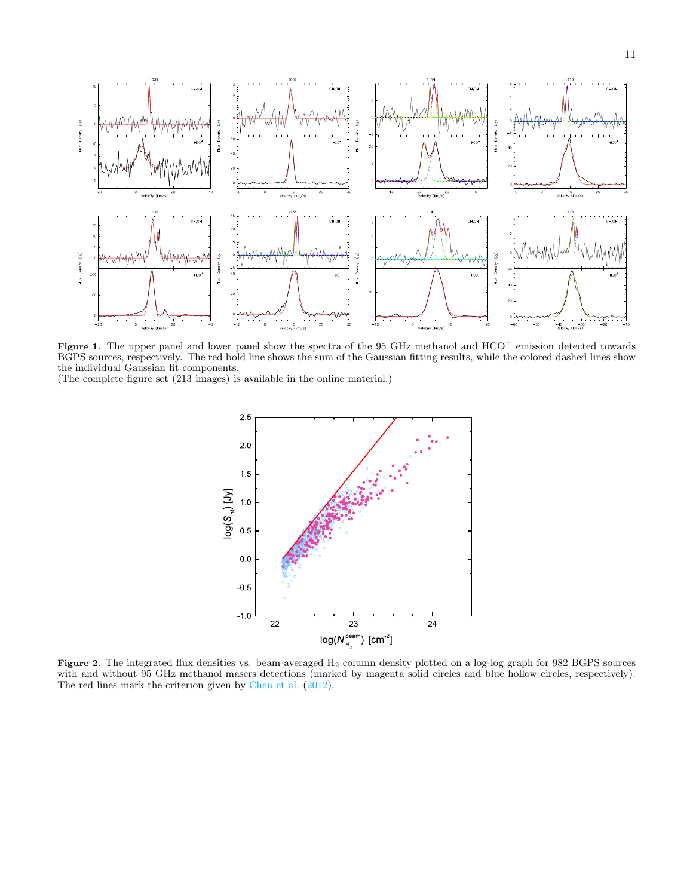

<span id="page-10-0"></span>Figure 1. The upper panel and lower panel show the spectra of the 95 GHz methanol and HCO<sup>+</sup> emission detected towards BGPS sources, respectively. The red bold line shows the sum of the Gaussian fitting results, while the colored dashed lines show the individual Gaussian fit components.

(The complete figure set (213 images) is available in the online material.)



<span id="page-10-1"></span>Figure 2. The integrated flux densities vs. beam-averaged H<sub>2</sub> column density plotted on a log-log graph for 982 BGPS sources with and without 95 GHz methanol masers detections (marked by magenta solid circles and blue hollow circles, respectively). The red lines mark the criterion given by [Chen et al.](#page-9-16)  $(2012)$ .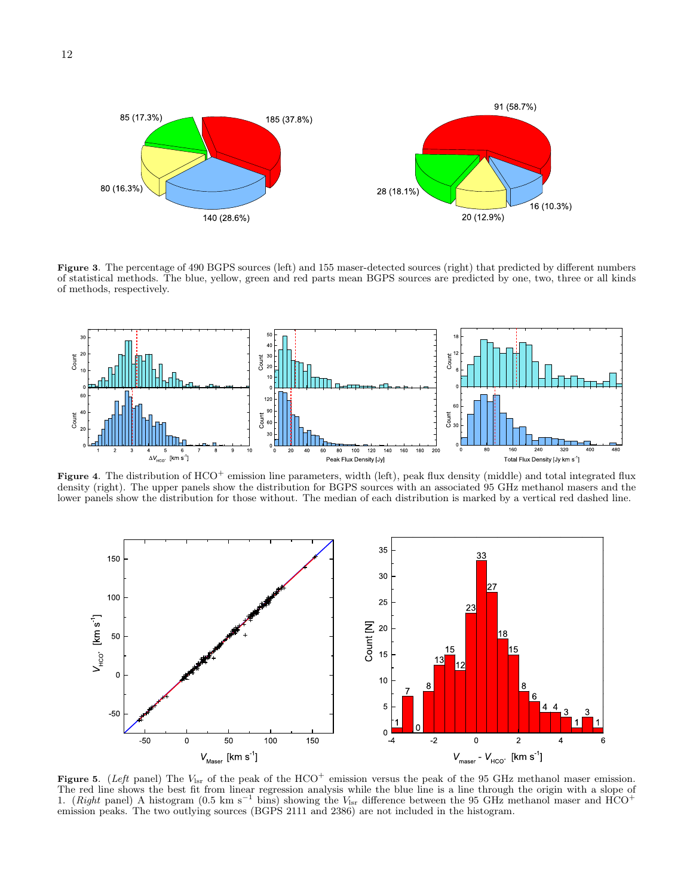

<span id="page-11-0"></span>Figure 3. The percentage of 490 BGPS sources (left) and 155 maser-detected sources (right) that predicted by different numbers of statistical methods. The blue, yellow, green and red parts mean BGPS sources are predicted by one, two, three or all kinds of methods, respectively.



<span id="page-11-1"></span>Figure 4. The distribution of HCO<sup>+</sup> emission line parameters, width (left), peak flux density (middle) and total integrated flux density (right). The upper panels show the distribution for BGPS sources with an associated 95 GHz methanol masers and the lower panels show the distribution for those without. The median of each distribution is marked by a vertical red dashed line.



<span id="page-11-2"></span>Figure 5. (Left panel) The  $V_{\text{lsr}}$  of the peak of the HCO<sup>+</sup> emission versus the peak of the 95 GHz methanol maser emission. The red line shows the best fit from linear regression analysis while the blue line is a line through the origin with a slope of 1. (*Right* panel) A histogram (0.5 km s<sup>-1</sup> bins) showing the  $V_{\text{lsr}}$  difference between emission peaks. The two outlying sources (BGPS 2111 and 2386) are not included in the histogram.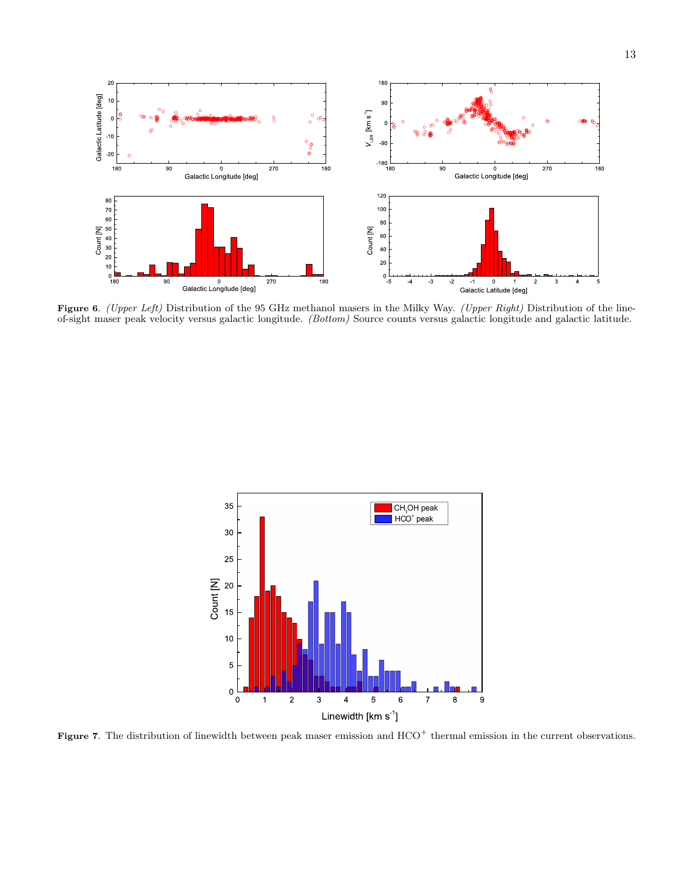

<span id="page-12-1"></span>Figure 6. (Upper Left) Distribution of the 95 GHz methanol masers in the Milky Way. (Upper Right) Distribution of the lineof-sight maser peak velocity versus galactic longitude. (Bottom) Source counts versus galactic longitude and galactic latitude.



<span id="page-12-0"></span>Figure 7. The distribution of linewidth between peak maser emission and HCO<sup>+</sup> thermal emission in the current observations.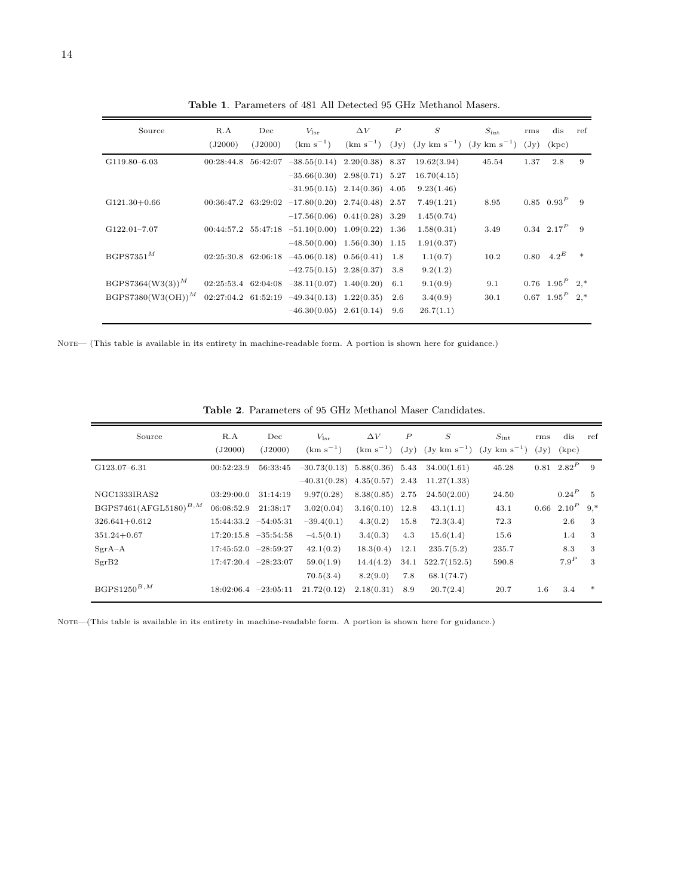| Source                | R.A        | Dec     | $V_{\rm lsr}$                                              | $\Delta V$        | $\boldsymbol{P}$ | S                                                                           | $S_{\rm int}$ | rms             | dis                           | ref    |
|-----------------------|------------|---------|------------------------------------------------------------|-------------------|------------------|-----------------------------------------------------------------------------|---------------|-----------------|-------------------------------|--------|
|                       | (J2000)    | (J2000) | $(km s^{-1})$                                              |                   |                  | $(\text{km s}^{-1})$ (Jy) (Jy km s <sup>-1</sup> ) (Jy km s <sup>-1</sup> ) |               | $(\mathrm{Jy})$ | (kpc)                         |        |
| G119.80-6.03          | 00:28:44.8 |         | $56:42:07$ $-38.55(0.14)$ $2.20(0.38)$ 8.37                |                   |                  | 19.62(3.94)                                                                 | 45.54         | 1.37            | 2.8                           | 9      |
|                       |            |         | $-35.66(0.30)$                                             | $2.98(0.71)$ 5.27 |                  | 16.70(4.15)                                                                 |               |                 |                               |        |
|                       |            |         | $-31.95(0.15)$ $2.14(0.36)$ $4.05$                         |                   |                  | 9.23(1.46)                                                                  |               |                 |                               |        |
| $G121.30+0.66$        |            |         | $00:36:47.2$ $63:29:02$ $-17.80(0.20)$ $2.74(0.48)$ $2.57$ |                   |                  | 7.49(1.21)                                                                  | 8.95          |                 | $0.85 \quad 0.93^P$           | -9     |
|                       |            |         | $-17.56(0.06)$ $0.41(0.28)$ 3.29                           |                   |                  | 1.45(0.74)                                                                  |               |                 |                               |        |
| $G122.01 - 7.07$      |            |         | $00:44:57.2$ $55:47:18$ $-51.10(0.00)$ $1.09(0.22)$ 1.36   |                   |                  | 1.58(0.31)                                                                  | 3.49          |                 | $0.34$ $2.17^P$               | -9     |
|                       |            |         | $-48.50(0.00)$ $1.56(0.30)$ $1.15$                         |                   |                  | 1.91(0.37)                                                                  |               |                 |                               |        |
| $BGPS7351^M$          |            |         | $02:25:30.8$ 62:06:18 -45.06(0.18) 0.56(0.41)              |                   | 1.8              | 1.1(0.7)                                                                    | 10.2          |                 | $0.80 \quad 4.2^E$            | $\ast$ |
|                       |            |         | $-42.75(0.15)$ $2.28(0.37)$                                |                   | 3.8              | 9.2(1.2)                                                                    |               |                 |                               |        |
| $BGPS7364(W3(3))^{M}$ |            |         | $02:25:53.4$ 62:04:08 -38.11(0.07) 1.40(0.20)              |                   | 6.1              | 9.1(0.9)                                                                    | 9.1           |                 | $0.76$ $1.95^{P}$ $2.*$       |        |
| $BGPST380(W3(OH))^M$  |            |         | $02:27:04.2$ 61:52:19 $-49.34(0.13)$                       | 1.22(0.35)        | 2.6              | 3.4(0.9)                                                                    | 30.1          |                 | $0.67 \quad 1.95^P \quad 2.*$ |        |
|                       |            |         | $-46.30(0.05)$ 2.61(0.14)                                  |                   | 9.6              | 26.7(1.1)                                                                   |               |                 |                               |        |

Table 1. Parameters of 481 All Detected 95 GHz Methanol Masers.

NOTE— (This table is available in its entirety in machine-readable form. A portion is shown here for guidance.)

| Source                     | R.A<br>(J2000)           | Dec<br>(J2000) | $V_{\rm lsr}$<br>$(km s^{-1})$ | $\Delta V$<br>$(km s^{-1})$ | $\boldsymbol{P}$<br>$(\mathrm{Jy})$ | $\boldsymbol{S}$ | $S_{\rm int}$<br>$(\text{Jy km s}^{-1})$ $(\text{Jy km s}^{-1})$ | rms<br>$(\mathrm{Jy})$ | dis<br>(kpc)    | ref    |
|----------------------------|--------------------------|----------------|--------------------------------|-----------------------------|-------------------------------------|------------------|------------------------------------------------------------------|------------------------|-----------------|--------|
| G123.07-6.31               | 00:52:23.9               | 56:33:45       | $-30.73(0.13)$                 | $5.88(0.36)$ $5.43$         |                                     | 34.00(1.61)      | 45.28                                                            |                        | $0.81 \ 2.82^P$ | -9     |
|                            |                          |                | $-40.31(0.28)$                 | 4.35(0.57)                  | 2.43                                | 11.27(1.33)      |                                                                  |                        |                 |        |
| NGC1333IRAS2               | 03:29:00.0               | 31:14:19       | 9.97(0.28)                     | $8.38(0.85)$ 2.75           |                                     | 24.50(2.00)      | 24.50                                                            |                        | $0.24^P$        | - 5    |
| $BGPS7461(AFGL5180)^{B,M}$ | 06:08:52.9               | 21:38:17       | 3.02(0.04)                     | $3.16(0.10)$ 12.8           |                                     | 43.1(1.1)        | 43.1                                                             | 0.66                   | $2.10^{P}$      | $9.*$  |
| $326.641 + 0.612$          | $15:44:33.2$ $-54:05:31$ |                | $-39.4(0.1)$                   | 4.3(0.2)                    | 15.8                                | 72.3(3.4)        | 72.3                                                             |                        | 2.6             | 3      |
| $351.24 + 0.67$            | $17:20:15.8$ $-35:54:58$ |                | $-4.5(0.1)$                    | 3.4(0.3)                    | 4.3                                 | 15.6(1.4)        | 15.6                                                             |                        | 1.4             | 3      |
| $SgrA-A$                   | $17:45:52.0$ $-28:59:27$ |                | 42.1(0.2)                      | 18.3(0.4)                   | 12.1                                | 235.7(5.2)       | 235.7                                                            |                        | 8.3             | 3      |
| SgrB2                      | $17:47:20.4$ $-28:23:07$ |                | 59.0(1.9)                      | 14.4(4.2)                   | 34.1                                | 522.7(152.5)     | 590.8                                                            |                        | $7.9^P$         | 3      |
|                            |                          |                | 70.5(3.4)                      | 8.2(9.0)                    | 7.8                                 | 68.1(74.7)       |                                                                  |                        |                 |        |
| $BGPS1250^{B,M}$           | $18:02:06.4$ $-23:05:11$ |                | 21.72(0.12)                    | 2.18(0.31)                  | 8.9                                 | 20.7(2.4)        | 20.7                                                             | 1.6                    | 3.4             | $\ast$ |

Table 2. Parameters of 95 GHz Methanol Maser Candidates.

NOTE—(This table is available in its entirety in machine-readable form. A portion is shown here for guidance.)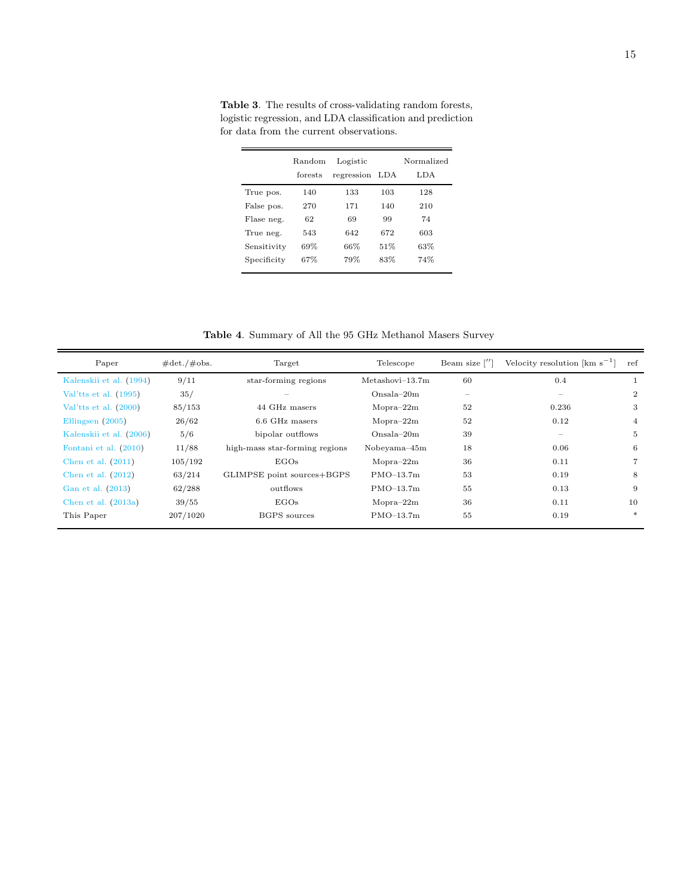|             | Random<br>forests | Logistic<br>regression | LDA | Normalized<br>LDA |
|-------------|-------------------|------------------------|-----|-------------------|
|             |                   |                        |     |                   |
| True pos.   | 140               | 133                    | 103 | 128               |
| False pos.  | 270               | 171                    | 140 | 210               |
| Flase neg.  | 62                | 69                     | 99  | 74                |
| True neg.   | 543               | 642                    | 672 | 603               |
| Sensitivity | 69%               | 66%                    | 51% | 63%               |
| Specificity | 67%               | 79%                    | 83% | 74%               |

<span id="page-14-1"></span>Table 3. The results of cross-validating random forests, logistic regression, and LDA classification and prediction for data from the current observations.

Table 4. Summary of All the 95 GHz Methanol Masers Survey

<span id="page-14-0"></span>

| Paper                   | $\#det./\#obs.$ | Target                         | Telescope         | Beam size $\lceil$ ']           | Velocity resolution $\mathrm{[km\ s}^{-1}]$ | ref            |
|-------------------------|-----------------|--------------------------------|-------------------|---------------------------------|---------------------------------------------|----------------|
| Kalenskii et al. (1994) | 9/11            | star-forming regions           | $Metashovi-13.7m$ | 60                              | 0.4                                         |                |
| Val'tts et al. $(1995)$ | 35/             |                                | $Onsala-20m$      | $\hspace{0.1mm}-\hspace{0.1mm}$ | $\hspace{0.1mm}-\hspace{0.1mm}$             | $\overline{2}$ |
| Val'tts et al. $(2000)$ | 85/153          | 44 GHz masers                  | $Mopra-22m$       | 52                              | 0.236                                       | 3              |
| Ellingsen $(2005)$      | 26/62           | 6.6 GHz masers                 | $Mopra-22m$       | 52                              | 0.12                                        | 4              |
| Kalenskii et al. (2006) | 5/6             | bipolar outflows               | $Onmala-20m$      | 39                              | $\hspace{0.1mm}-\hspace{0.1mm}$             | 5              |
| Fontani et al. (2010)   | 11/88           | high-mass star-forming regions | Nobeyama-45m      | 18                              | 0.06                                        | 6              |
| Chen et al. $(2011)$    | 105/192         | EGOs                           | $Mopra-22m$       | 36                              | 0.11                                        |                |
| Chen et al. $(2012)$    | 63/214          | GLIMPSE point sources+BGPS     | $PMO-13.7m$       | 53                              | 0.19                                        | 8              |
| Gan et al. (2013)       | 62/288          | outflows                       | $PMO-13.7m$       | 55                              | 0.13                                        | 9              |
| Chen et al. $(2013a)$   | 39/55           | EGOs                           | $Mopra-22m$       | 36                              | 0.11                                        | 10             |
| This Paper              | 207/1020        | BGPS sources                   | $PMO-13.7m$       | 55                              | 0.19                                        | $\star$        |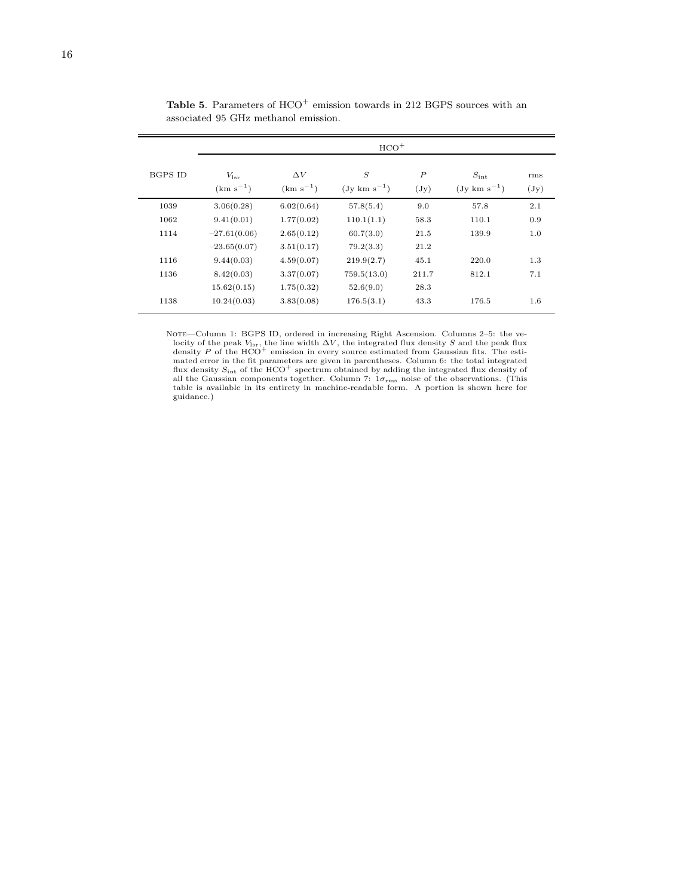<span id="page-15-0"></span>

|         | $HCO+$                         |                             |                                     |                                     |                                           |                        |  |
|---------|--------------------------------|-----------------------------|-------------------------------------|-------------------------------------|-------------------------------------------|------------------------|--|
| BGPS ID | $V_{\rm lsr}$<br>$(km s^{-1})$ | $\Delta V$<br>$(km s^{-1})$ | $\mathcal{S}$<br>$(Jy \ km s^{-1})$ | $\boldsymbol{P}$<br>$(\mathrm{Jy})$ | $S_{\rm int}$<br>$(Jy \text{ km s}^{-1})$ | rms<br>$(\mathrm{Jy})$ |  |
| 1039    | 3.06(0.28)                     | 6.02(0.64)                  | 57.8(5.4)                           | 9.0                                 | 57.8                                      | 2.1                    |  |
| 1062    | 9.41(0.01)                     | 1.77(0.02)                  | 110.1(1.1)                          | 58.3                                | 110.1                                     | 0.9                    |  |
| 1114    | $-27.61(0.06)$                 | 2.65(0.12)                  | 60.7(3.0)                           | 21.5                                | 139.9                                     | 1.0                    |  |
|         | $-23.65(0.07)$                 | 3.51(0.17)                  | 79.2(3.3)                           | 21.2                                |                                           |                        |  |
| 1116    | 9.44(0.03)                     | 4.59(0.07)                  | 219.9(2.7)                          | 45.1                                | 220.0                                     | 1.3                    |  |
| 1136    | 8.42(0.03)                     | 3.37(0.07)                  | 759.5(13.0)                         | 211.7                               | 812.1                                     | 7.1                    |  |
|         | 15.62(0.15)                    | 1.75(0.32)                  | 52.6(9.0)                           | 28.3                                |                                           |                        |  |
| 1138    | 10.24(0.03)                    | 3.83(0.08)                  | 176.5(3.1)                          | 43.3                                | 176.5                                     | 1.6                    |  |

Table 5. Parameters of  $\mathrm{HCO}^{+}$  emission towards in 212 BGPS sources with an associated 95 GHz methanol emission.

NOTE-Column 1: BGPS ID, ordered in increasing Right Ascension. Columns 2-5: the velocity of the peak  $V_{\text{lsr}}$ , the line width  $\Delta V$ , the integrated flux density S and the peak flux density P of the HCO<sup>+</sup> emission in every source estimated from Gaussian fits. The estimated error in the fit parameters are given in parentheses. Column 6: the total integrated flux density  $S_{\text{int}}$  of the HCO<sup>+</sup> spectrum obtained by adding the integrated flux density of all the Gaussian components together. Column 7:  $1\sigma_{\rm rms}$  noise of the observations. (This table is available in its entirety in machine-readable form. A portion is shown here for guidance.)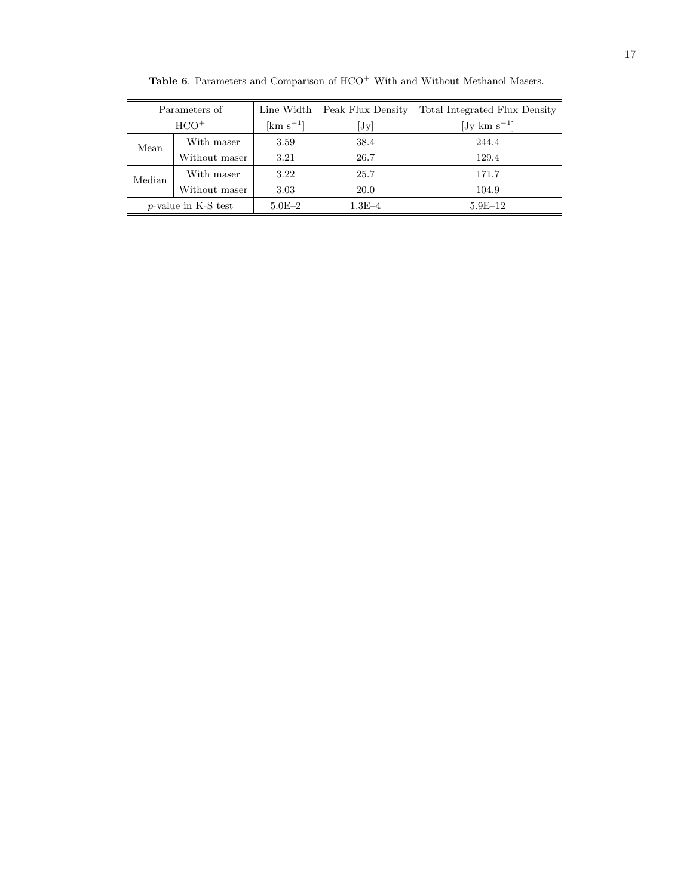| Parameters of          |                     |                          | Total Integrated Flux Density |
|------------------------|---------------------|--------------------------|-------------------------------|
| $HCO+$                 | $\rm [km \ s^{-1}]$ | [Jy]                     | $[Jy \text{ km s}^{-1}]$      |
| With maser             | 3.59                | 38.4                     | 244.4                         |
| Without maser          | 3.21                | 26.7                     | 129.4                         |
| With maser             | 3.22                | 25.7                     | 171.7                         |
| Without maser          | 3.03                | 20.0                     | 104.9                         |
| $p$ -value in K-S test |                     | $1.3E - 4$               | $5.9E-12$                     |
|                        |                     | Line Width<br>$5.0E - 2$ | Peak Flux Density             |

<span id="page-16-0"></span> ${\bf Table}$  6. Parameters and Comparison of  $\mathrm{HCO}^{+}$  With and Without Methanol Masers.